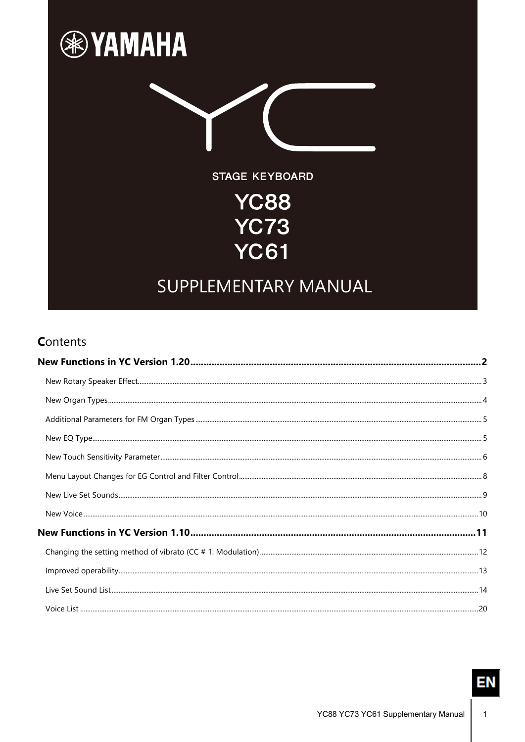

#### **Contents**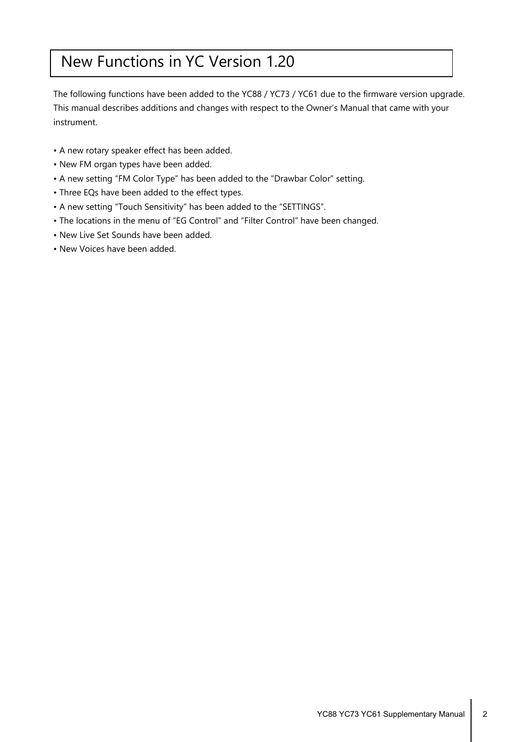## <span id="page-1-0"></span>New Functions in YC Version 1.20

The following functions have been added to the YC88 / YC73 / YC61 due to the firmware version upgrade. This manual describes additions and changes with respect to the Owner's Manual that came with your instrument.

- A new rotary speaker effect has been added.
- New FM organ types have been added.
- A new setting "FM Color Type" has been added to the "Drawbar Color" setting.
- Three EQs have been added to the effect types.
- A new setting "Touch Sensitivity" has been added to the "SETTINGS".
- The locations in the menu of "EG Control" and "Filter Control" have been changed.
- New Live Set Sounds have been added.
- New Voices have been added.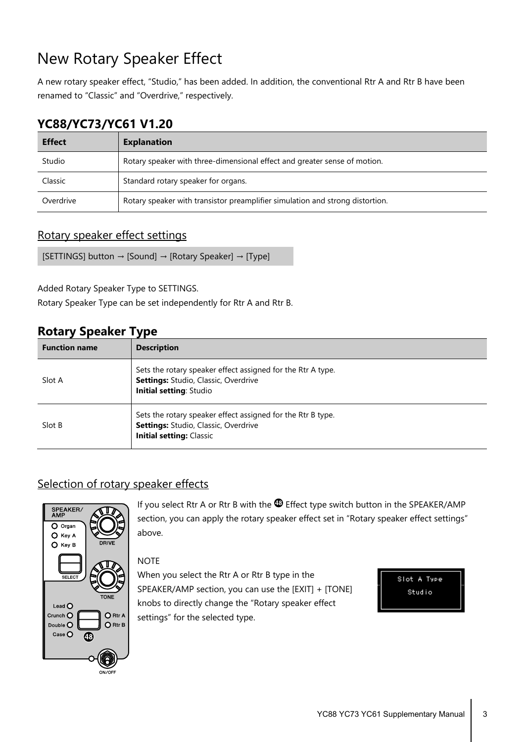## <span id="page-2-0"></span>New Rotary Speaker Effect

A new rotary speaker effect, "Studio," has been added. In addition, the conventional Rtr A and Rtr B have been renamed to "Classic" and "Overdrive," respectively.

#### **YC88/YC73/YC61 V1.20**

| <b>Effect</b> | <b>Explanation</b>                                                            |
|---------------|-------------------------------------------------------------------------------|
| Studio        | Rotary speaker with three-dimensional effect and greater sense of motion.     |
| Classic       | Standard rotary speaker for organs.                                           |
| Overdrive     | Rotary speaker with transistor preamplifier simulation and strong distortion. |

#### Rotary speaker effect settings

```
[SETTINGS] button → [Sound] → [Rotary Speaker] → [Type]
```
Added Rotary Speaker Type to SETTINGS.

Rotary Speaker Type can be set independently for Rtr A and Rtr B.

#### **Rotary Speaker Type**

| <b>Function name</b> | <b>Description</b>                                                                                                                     |
|----------------------|----------------------------------------------------------------------------------------------------------------------------------------|
| Slot A               | Sets the rotary speaker effect assigned for the Rtr A type.<br>Settings: Studio, Classic, Overdrive<br>Initial setting: Studio         |
| Slot B               | Sets the rotary speaker effect assigned for the Rtr B type.<br>Settings: Studio, Classic, Overdrive<br><b>Initial setting: Classic</b> |

#### Selection of rotary speaker effects



If you select Rtr A or Rtr B with the  $\circledR$  Effect type switch button in the SPEAKER/AMP section, you can apply the rotary speaker effect set in "Rotary speaker effect settings" above.

#### **NOTE**

When you select the Rtr A or Rtr B type in the SPEAKER/AMP section, you can use the [EXIT] + [TONE] knobs to directly change the "Rotary speaker effect settings" for the selected type.

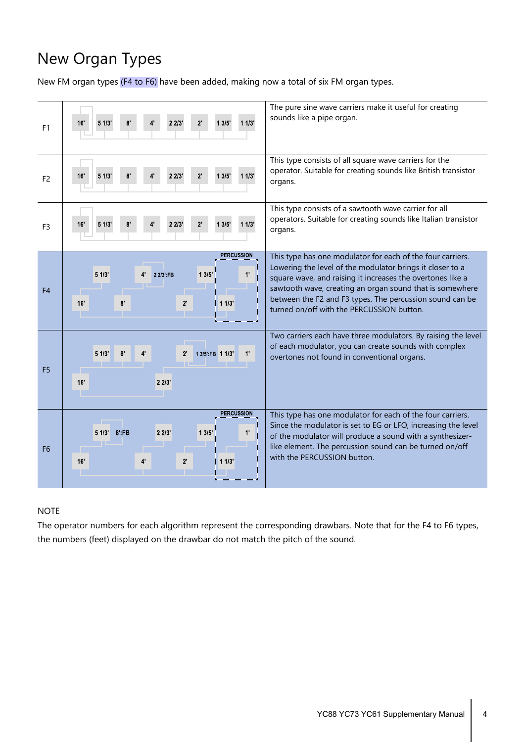# <span id="page-3-0"></span>New Organ Types

New FM organ types (F4 to F6) have been added, making now a total of six FM organ types.



#### **NOTE**

The operator numbers for each algorithm represent the corresponding drawbars. Note that for the F4 to F6 types, the numbers (feet) displayed on the drawbar do not match the pitch of the sound.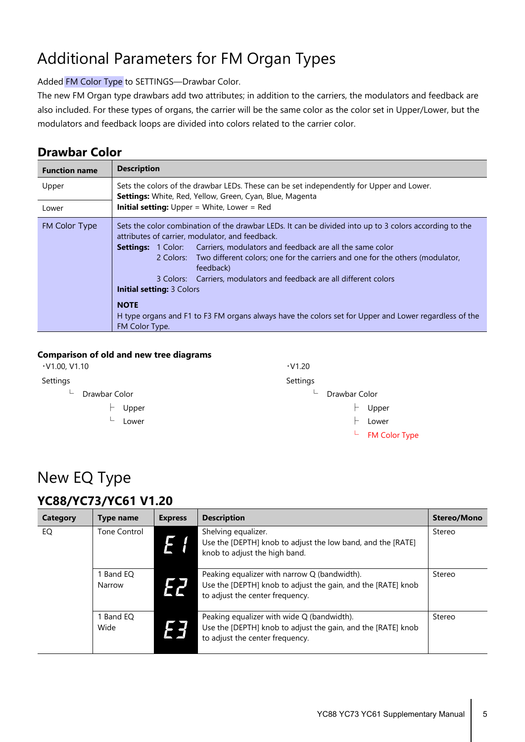# <span id="page-4-0"></span>Additional Parameters for FM Organ Types

#### Added FM Color Type to SETTINGS—Drawbar Color.

The new FM Organ type drawbars add two attributes; in addition to the carriers, the modulators and feedback are also included. For these types of organs, the carrier will be the same color as the color set in Upper/Lower, but the modulators and feedback loops are divided into colors related to the carrier color.

#### **Drawbar Color**

| <b>Function name</b> | <b>Description</b>                                                                                                                                                                                                                                                                                                                                                                                                                                                                                                                                                                                            |  |  |  |  |
|----------------------|---------------------------------------------------------------------------------------------------------------------------------------------------------------------------------------------------------------------------------------------------------------------------------------------------------------------------------------------------------------------------------------------------------------------------------------------------------------------------------------------------------------------------------------------------------------------------------------------------------------|--|--|--|--|
| Upper                | Sets the colors of the drawbar LEDs. These can be set independently for Upper and Lower.<br><b>Settings:</b> White, Red, Yellow, Green, Cyan, Blue, Magenta                                                                                                                                                                                                                                                                                                                                                                                                                                                   |  |  |  |  |
| Lower                | <b>Initial setting:</b> Upper = White, Lower = Red                                                                                                                                                                                                                                                                                                                                                                                                                                                                                                                                                            |  |  |  |  |
| FM Color Type        | Sets the color combination of the drawbar LEDs. It can be divided into up to 3 colors according to the<br>attributes of carrier, modulator, and feedback.<br><b>Settings:</b> 1 Color: Carriers, modulators and feedback are all the same color<br>2 Colors: Two different colors; one for the carriers and one for the others (modulator,<br>feedback)<br>3 Colors: Carriers, modulators and feedback are all different colors<br><b>Initial setting: 3 Colors</b><br><b>NOTE</b><br>H type organs and F1 to F3 FM organs always have the colors set for Upper and Lower regardless of the<br>FM Color Type. |  |  |  |  |

#### **Comparison of old and new tree diagrams**

| $\cdot$ V1.00, V1.10                      | $\cdot$ V1.20      |
|-------------------------------------------|--------------------|
| Settings                                  | Settings           |
| Drawbar Color<br>$\overline{\phantom{0}}$ | Drawbar Color<br>┶ |
| Upper                                     | Upper              |
| Lower<br>┶                                | Lower              |
|                                           | $L$ FM Color Type  |

### <span id="page-4-1"></span>New EQ Type

#### **YC88/YC73/YC61 V1.20**

| Category | Type name         | <b>Express</b> | <b>Description</b>                                                                                                                              | <b>Stereo/Mono</b> |
|----------|-------------------|----------------|-------------------------------------------------------------------------------------------------------------------------------------------------|--------------------|
| EQ       | Tone Control      |                | Shelving equalizer.<br>Use the [DEPTH] knob to adjust the low band, and the [RATE]<br>knob to adjust the high band.                             | Stereo             |
|          | Band EO<br>Narrow | EZ             | Peaking equalizer with narrow Q (bandwidth).<br>Use the [DEPTH] knob to adjust the gain, and the [RATE] knob<br>to adjust the center frequency. | Stereo             |
|          | Band EO<br>Wide   | EE             | Peaking equalizer with wide Q (bandwidth).<br>Use the [DEPTH] knob to adjust the gain, and the [RATE] knob<br>to adjust the center frequency.   | Stereo             |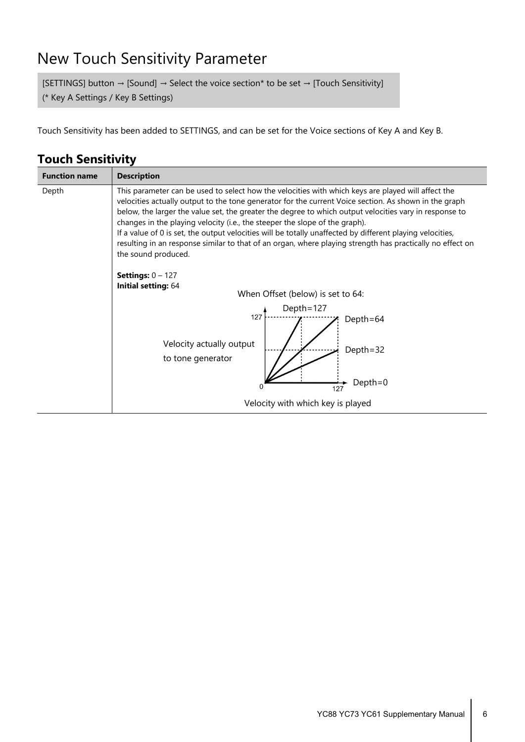### <span id="page-5-0"></span>New Touch Sensitivity Parameter

[SETTINGS] button  $\rightarrow$  [Sound]  $\rightarrow$  Select the voice section\* to be set  $\rightarrow$  [Touch Sensitivity] (\* Key A Settings / Key B Settings)

Touch Sensitivity has been added to SETTINGS, and can be set for the Voice sections of Key A and Key B.

| <b>Touch Sensitivity</b> |  |  |
|--------------------------|--|--|
|--------------------------|--|--|

| <b>Function name</b> | <b>Description</b>                                                                                                                                                                                                                                                                                                                                                                                                                                                                                                                                                                                                                                                                                                                              |
|----------------------|-------------------------------------------------------------------------------------------------------------------------------------------------------------------------------------------------------------------------------------------------------------------------------------------------------------------------------------------------------------------------------------------------------------------------------------------------------------------------------------------------------------------------------------------------------------------------------------------------------------------------------------------------------------------------------------------------------------------------------------------------|
| Depth                | This parameter can be used to select how the velocities with which keys are played will affect the<br>velocities actually output to the tone generator for the current Voice section. As shown in the graph<br>below, the larger the value set, the greater the degree to which output velocities vary in response to<br>changes in the playing velocity (i.e., the steeper the slope of the graph).<br>If a value of 0 is set, the output velocities will be totally unaffected by different playing velocities,<br>resulting in an response similar to that of an organ, where playing strength has practically no effect on<br>the sound produced.<br><b>Settings:</b> $0 - 127$<br>Initial setting: 64<br>When Offset (below) is set to 64: |
|                      | Depth=127<br>127<br>Depth=64<br>Velocity actually output<br>Depth=32<br>to tone generator<br>Depth=0<br>$\Omega$<br>127                                                                                                                                                                                                                                                                                                                                                                                                                                                                                                                                                                                                                         |
|                      | Velocity with which key is played                                                                                                                                                                                                                                                                                                                                                                                                                                                                                                                                                                                                                                                                                                               |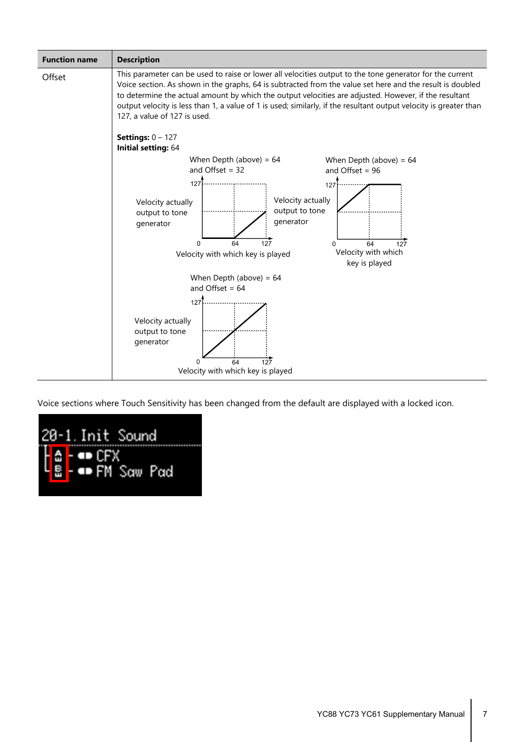

Voice sections where Touch Sensitivity has been changed from the default are displayed with a locked icon.

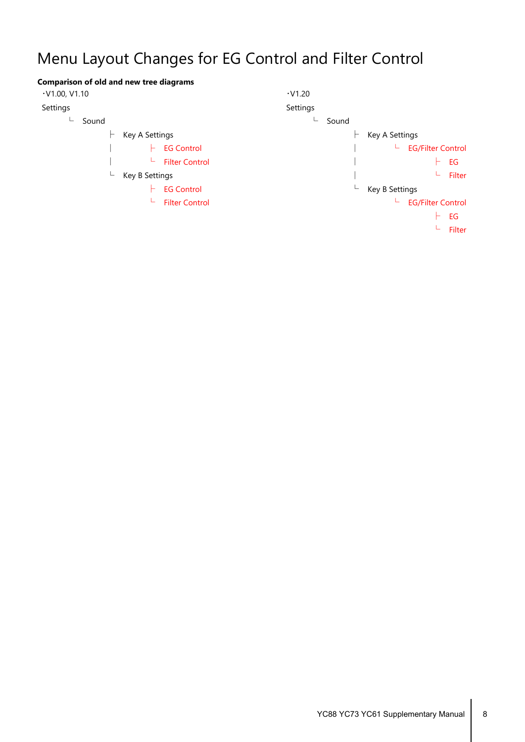# <span id="page-7-0"></span>Menu Layout Changes for EG Control and Filter Control

| <b>Comparison of old and new tree diagrams</b> |                               |
|------------------------------------------------|-------------------------------|
| $\cdot$ V1.00, V1.10                           | $\cdot$ V1.20                 |
| Settings                                       | Settings                      |
| Sound<br>└                                     | Sound                         |
| Key A Settings                                 | Key A Settings                |
| <b>EG Control</b>                              | <b>EG/Filter Control</b><br>ц |
| <b>Filter Control</b><br>ட                     | EG                            |
| L<br>Key B Settings                            | Filter                        |
| <b>EG Control</b>                              | Key B Settings<br>┶           |
| <b>Filter Control</b><br>щ.                    | <b>EG/Filter Control</b><br>ட |
|                                                | EG                            |
|                                                | Filter                        |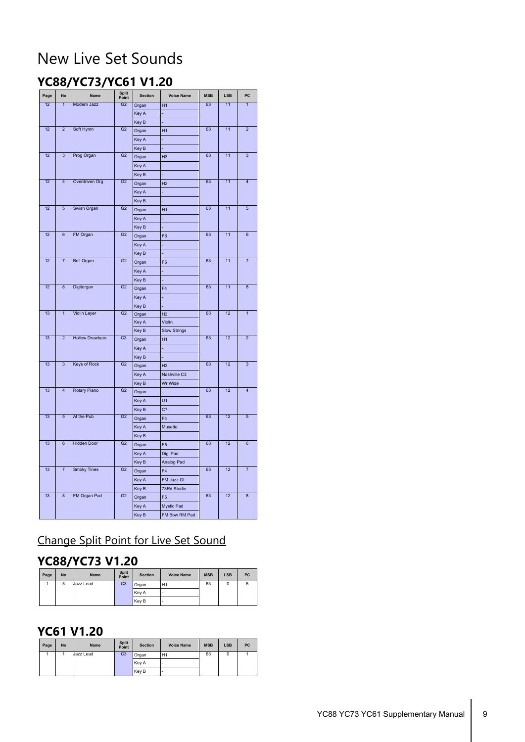## <span id="page-8-0"></span>New Live Set Sounds

### **YC88/YC73/YC61 V1.20**

| Page | <b>No</b>          | <b>Name</b>            | <b>Split</b><br>Point | <b>Section</b> | <b>Voice Name</b>   | <b>MSB</b> | <b>LSB</b> | PC                      |
|------|--------------------|------------------------|-----------------------|----------------|---------------------|------------|------------|-------------------------|
| 12   | $\overline{1}$     | Modern Jazz            | G <sub>2</sub>        | Organ          | H1                  | 63         | 11         | $\overline{1}$          |
|      |                    |                        |                       | Key A          |                     |            |            |                         |
|      |                    |                        |                       | Key B          |                     |            |            |                         |
| 12   | $\overline{2}$     | Soft Hymn              | G <sub>2</sub>        | Organ          | H1                  | 63         | 11         | $\overline{2}$          |
|      |                    |                        |                       | Key A          |                     |            |            |                         |
|      |                    |                        |                       | Key B          |                     |            |            |                         |
| 12   | $\overline{3}$     | Prog Organ             | G <sub>2</sub>        | Organ          | H <sub>3</sub>      | 63         | 11         | $\overline{3}$          |
|      |                    |                        |                       | Key A          |                     |            |            |                         |
|      |                    |                        |                       | Key B          |                     |            |            |                         |
| 12   | $\overline{4}$     | Overdriven Org         | G2                    | Organ          | H <sub>2</sub>      | 63         | 11         | $\overline{4}$          |
|      |                    |                        |                       | Key A          |                     |            |            |                         |
|      |                    |                        |                       | Key B          |                     |            |            |                         |
| 12   | $\overline{5}$     | Swish Organ            | G <sub>2</sub>        | Organ          | H1                  | 63         | 11         | $\overline{5}$          |
|      |                    |                        |                       | Key A          |                     |            |            |                         |
|      |                    |                        |                       | Key B          |                     |            |            |                         |
| 12   | $\overline{6}$     | FM Organ               | G <sub>2</sub>        | Organ          | F <sub>6</sub>      | 63         | 11         | 6                       |
|      |                    |                        |                       | Key A          |                     |            |            |                         |
|      |                    |                        |                       | Key B          |                     |            |            |                         |
| 12   | $\overline{7}$     | <b>Bell Organ</b>      | G <sub>2</sub>        | Organ          | F <sub>5</sub>      | 63         | 11         | $\overline{7}$          |
|      |                    |                        |                       | Key A          |                     |            |            |                         |
|      |                    |                        |                       | Key B          |                     |            |            |                         |
| 12   | $\overline{8}$     | Digitorgan             | $\overline{G2}$       | Organ          | F4                  | 63         | 11         | $\overline{8}$          |
|      |                    |                        |                       | Key A          |                     |            |            |                         |
|      |                    |                        |                       | Key B          |                     |            |            |                         |
| 13   | $\overline{1}$     | <b>Violin Layer</b>    | G <sub>2</sub>        | Organ          | H <sub>3</sub>      | 63         | 12         | $\mathbf{1}$            |
|      |                    |                        |                       | Key A          | Violin              |            |            |                         |
|      |                    |                        |                       | Key B          | <b>Slow Strings</b> |            |            |                         |
| 13   | $\overline{2}$     | <b>Hollow Drawbars</b> | C <sub>3</sub>        | Organ          | H1                  | 63         | 12         | $\overline{2}$          |
|      |                    |                        |                       | Key A          |                     |            |            |                         |
|      |                    |                        |                       | Key B          |                     |            |            |                         |
| 13   | $\overline{3}$     | <b>Keys of Rock</b>    | G <sub>2</sub>        | Organ          | H <sub>3</sub>      | 63         | 12         | $\overline{\mathbf{3}}$ |
|      |                    |                        |                       | Key A          | Nashville C3        |            |            |                         |
|      |                    |                        |                       | Key B          | Wr Wide             |            |            |                         |
| 13   | $\overline{4}$     | <b>Rotary Piano</b>    | G <sub>2</sub>        | Organ          |                     | 63         | 12         | $\overline{4}$          |
|      |                    |                        |                       | Key A          | U1                  |            |            |                         |
|      |                    |                        |                       | Key B          | C7                  |            |            |                         |
| 13   | $\overline{5}$     | At the Pub             | G <sub>2</sub>        | Organ          | F4                  | 63         | 12         | $\overline{5}$          |
|      |                    |                        |                       | Key A          | Musette             |            |            |                         |
| 13   |                    |                        |                       | Key B          |                     |            | 12         |                         |
|      | 6                  | <b>Hidden Door</b>     | G <sub>2</sub>        | Organ          | F <sub>5</sub>      | 63         |            | $6\phantom{1}$          |
|      |                    |                        |                       | Key A          | Digi Pad            |            |            |                         |
|      |                    |                        |                       | Key B          | Analog Pad          |            |            |                         |
| 13   | $\overline{7}$     | <b>Smoky Tines</b>     | G <sub>2</sub>        | Organ          | F <sub>4</sub>      | 63         | 12         | $\overline{7}$          |
|      |                    |                        |                       | Key A          | FM Jazz Gt          |            |            |                         |
|      |                    |                        |                       | Key B          | 73Rd Studio         |            |            |                         |
| 13   | $\overline{\bf 8}$ | FM Organ Pad           | G <sub>2</sub>        | Organ          | F <sub>5</sub>      | 63         | 12         | $\overline{\mathbf{8}}$ |
|      |                    |                        |                       | Key A          | Mystic Pad          |            |            |                         |
|      |                    |                        |                       | Key B          | FM Bow RM Pad       |            |            |                         |

### Change Split Point for Live Set Sound

### **YC88/YC73 V1.20**

| Page | <b>No</b> | <b>Name</b> | <b>Split</b><br>Point | <b>Section</b> | <b>Voice Name</b> | <b>MSB</b> | <b>LSB</b> | PC |
|------|-----------|-------------|-----------------------|----------------|-------------------|------------|------------|----|
|      | 5         | Jazz Lead   | C <sub>3</sub>        | Organ          | H1                | 63         | 0          |    |
|      |           |             |                       | Key A          | ٠                 |            |            |    |
|      |           |             |                       | Key B          | ٠                 |            |            |    |

#### **YC61 V1.20**

| Page | <b>No</b> | <b>Name</b> | <b>Split</b><br>Point | <b>Section</b> | <b>Voice Name</b> | <b>MSB</b> | <b>LSB</b> | PC |
|------|-----------|-------------|-----------------------|----------------|-------------------|------------|------------|----|
|      |           | Jazz Lead   | C <sub>3</sub>        | Organ          | H1                | 63         | u          |    |
|      |           |             |                       | Key A          |                   |            |            |    |
|      |           |             |                       | Key B          |                   |            |            |    |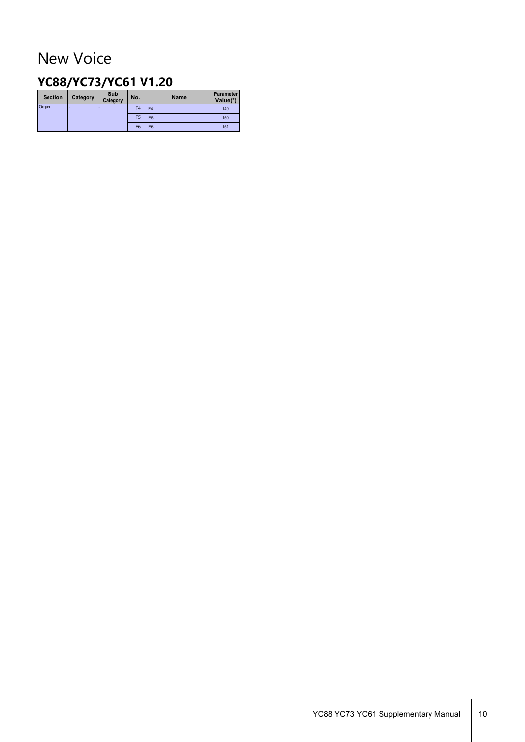## <span id="page-9-0"></span>New Voice

#### **YC88/YC73/YC61 V1.20**

| <b>Section</b> | Category | Sub<br>Category | No.            | <b>Name</b>    | Parameter<br>Value(*) |
|----------------|----------|-----------------|----------------|----------------|-----------------------|
| Organ          | -        | -               | F <sub>4</sub> | F <sub>4</sub> | 149                   |
|                |          |                 | F <sub>5</sub> | F <sub>5</sub> | 150                   |
|                |          |                 | F <sub>6</sub> | F <sub>6</sub> | 151                   |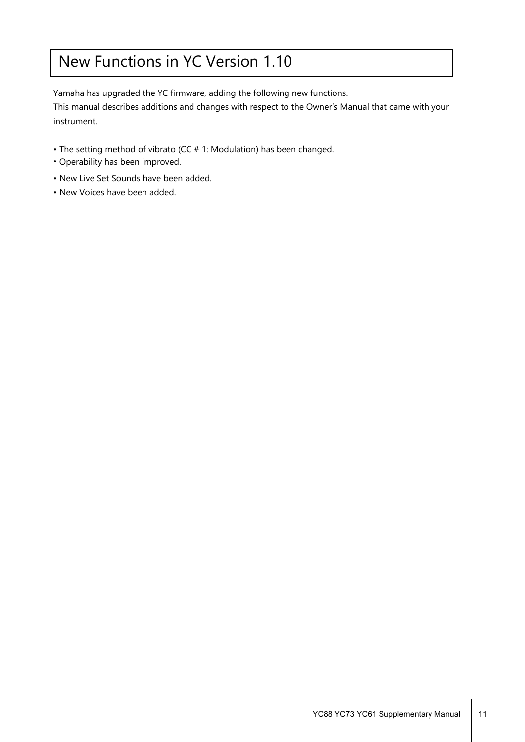## <span id="page-10-0"></span>New Functions in YC Version 1.10

Yamaha has upgraded the YC firmware, adding the following new functions.

This manual describes additions and changes with respect to the Owner's Manual that came with your instrument.

- The setting method of vibrato (CC # 1: Modulation) has been changed.
- Operability has been improved.
- New Live Set Sounds have been added.
- New Voices have been added.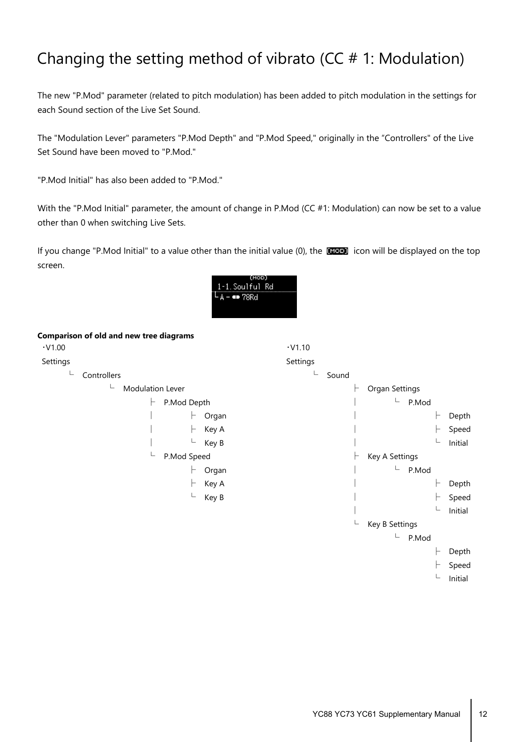## <span id="page-11-0"></span>Changing the setting method of vibrato ( $CC # 1$ : Modulation)

The new "P.Mod" parameter (related to pitch modulation) has been added to pitch modulation in the settings for each Sound section of the Live Set Sound.

The "Modulation Lever" parameters "P.Mod Depth" and "P.Mod Speed," originally in the "Controllers" of the Live Set Sound have been moved to "P.Mod."

"P.Mod Initial" has also been added to "P.Mod."

With the "P.Mod Initial" parameter, the amount of change in P.Mod (CC #1: Modulation) can now be set to a value other than 0 when switching Live Sets.

If you change "P.Mod Initial" to a value other than the initial value (0), the large icon will be displayed on the top screen.



#### **Comparison of old and new tree diagrams**

| $\cdot$ V1.00 |                       |             |       | $\cdot$ V1.10 |       |                |               |         |
|---------------|-----------------------|-------------|-------|---------------|-------|----------------|---------------|---------|
| Settings      |                       |             |       | Settings      |       |                |               |         |
| L             | Controllers           |             |       |               | Sound |                |               |         |
|               | L<br>Modulation Lever |             |       |               | H     | Organ Settings |               |         |
|               | ⊢                     | P.Mod Depth |       |               |       | L.             | P.Mod         |         |
|               |                       | F           | Organ |               |       |                | ⊢             | Depth   |
|               |                       |             | Key A |               |       |                | H.            | Speed   |
|               |                       |             | Key B |               |       |                | L             | Initial |
|               | L                     | P.Mod Speed |       |               | ⊢     | Key A Settings |               |         |
|               |                       |             | Organ |               |       | L              | P.Mod         |         |
|               |                       |             | Key A |               |       |                | H             | Depth   |
|               |                       | L           | Key B |               |       |                | H.            | Speed   |
|               |                       |             |       |               |       |                | L             | Initial |
|               |                       |             |       |               | L     | Key B Settings |               |         |
|               |                       |             |       |               |       | L              | P.Mod         |         |
|               |                       |             |       |               |       |                | ⊢             | Depth   |
|               |                       |             |       |               |       |                | H.            | Speed   |
|               |                       |             |       |               |       |                | $\sqsubseteq$ | Initial |
|               |                       |             |       |               |       |                |               |         |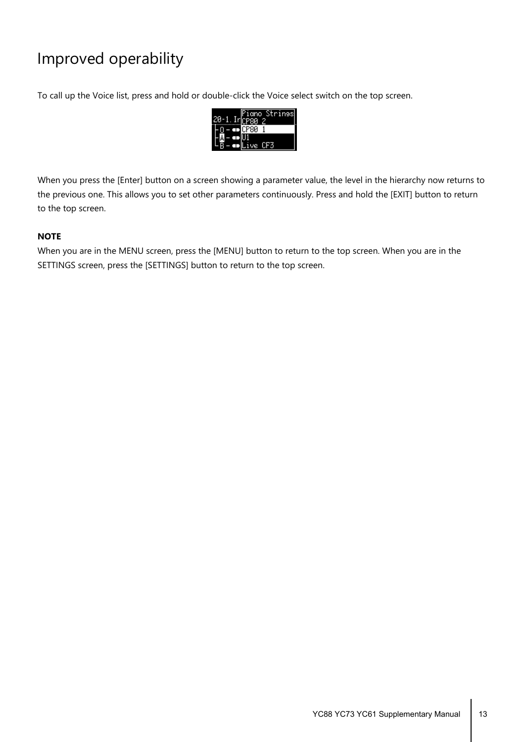## <span id="page-12-0"></span>Improved operability

To call up the Voice list, press and hold or double-click the Voice select switch on the top screen.



When you press the [Enter] button on a screen showing a parameter value, the level in the hierarchy now returns to the previous one. This allows you to set other parameters continuously. Press and hold the [EXIT] button to return to the top screen.

#### **NOTE**

When you are in the MENU screen, press the [MENU] button to return to the top screen. When you are in the SETTINGS screen, press the [SETTINGS] button to return to the top screen.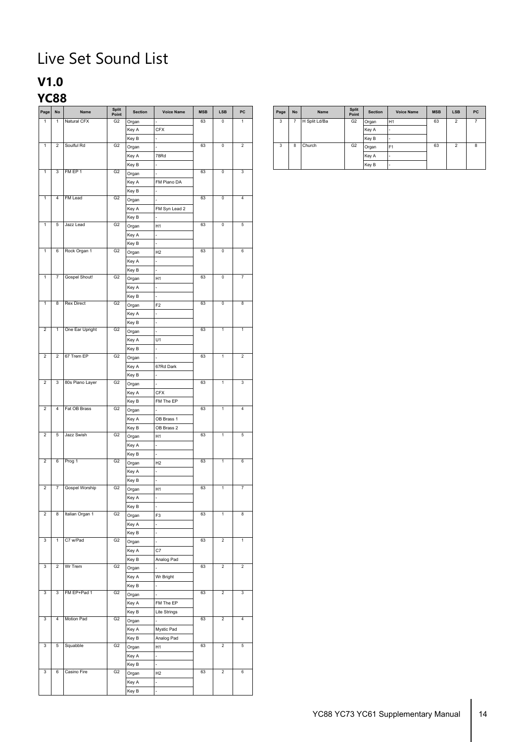# <span id="page-13-0"></span>Live Set Sound List

### **V1.0**

### **YC88**

| Page                    | $\mathsf{No}$           | Name              | Split<br>Point | Section | <b>Voice Name</b> | MSB | ${\sf LSB}$             | ${\sf PC}$              |
|-------------------------|-------------------------|-------------------|----------------|---------|-------------------|-----|-------------------------|-------------------------|
| $\overline{1}$          | $\mathbf{1}$            | Natural CFX       | G2             | Organ   |                   | 63  | $\mathbb O$             | $\mathbf{1}$            |
|                         |                         |                   |                | Key A   | <b>CFX</b>        |     |                         |                         |
|                         |                         |                   |                | Key B   |                   |     |                         |                         |
| $\mathbf{1}$            |                         | 2 Soulful Rd      | G <sub>2</sub> | Organ   |                   | 63  | $\mathbb O$             | $\overline{2}$          |
|                         |                         |                   |                | Key A   | 78Rd              |     |                         |                         |
|                         |                         |                   |                |         |                   |     |                         |                         |
| $\mathbf{1}$            |                         | 3 FM EP 1         | G2             | Key B   |                   | 63  | $\overline{0}$          | $\overline{\mathbf{3}}$ |
|                         |                         |                   |                | Organ   |                   |     |                         |                         |
|                         |                         |                   |                | Key A   | FM Piano DA       |     |                         |                         |
|                         |                         |                   |                | Key B   |                   |     |                         |                         |
| $\overline{1}$          |                         | 4 FM Lead         | G2             | Organ   |                   | 63  | $\overline{0}$          | $\overline{4}$          |
|                         |                         |                   |                | Key A   | FM Syn Lead 2     |     |                         |                         |
|                         |                         |                   |                |         |                   |     |                         |                         |
|                         |                         |                   |                | Key B   |                   |     |                         |                         |
| $\mathbf{1}$            | $\overline{5}$          | Jazz Lead         | G <sub>2</sub> | Organ   | H1                | 63  | $\pmb{0}$               | $\overline{5}$          |
|                         |                         |                   |                | Key A   |                   |     |                         |                         |
|                         |                         |                   |                | Key B   |                   |     |                         |                         |
| $\overline{1}$          |                         | 6 Rock Organ 1    | G2             | Organ   | H2                | 63  | $\overline{\mathbf{0}}$ | 6                       |
|                         |                         |                   |                |         |                   |     |                         |                         |
|                         |                         |                   |                | Key A   |                   |     |                         |                         |
|                         |                         |                   |                | Key B   |                   |     |                         |                         |
| $\mathbf{1}$            | $\overline{7}$          | Gospel Shout!     | G2             | Organ   | H1                | 63  | $\pmb{0}$               | $\overline{7}$          |
|                         |                         |                   |                | Key A   |                   |     |                         |                         |
|                         |                         |                   |                |         |                   |     |                         |                         |
|                         |                         |                   |                | Key B   |                   | 63  |                         |                         |
| $\mathbf{1}$            |                         | 8 Rex Direct      | G2             | Organ   | F <sub>2</sub>    |     | $\mathbf 0$             | $\overline{\mathbf{8}}$ |
|                         |                         |                   |                | Key A   |                   |     |                         |                         |
|                         |                         |                   |                | Key B   |                   |     |                         |                         |
| $\overline{2}$          |                         | 1 One Ear Upright | G2             | Organ   |                   | 63  | $\mathbf{1}$            | $\mathbf{1}$            |
|                         |                         |                   |                | Key A   | U1                |     |                         |                         |
|                         |                         |                   |                | Key B   |                   |     |                         |                         |
| $\overline{2}$          |                         | 2 67 Trem EP      | G2             |         |                   | 63  | $\mathbf{1}$            | $\overline{2}$          |
|                         |                         |                   |                | Organ   |                   |     |                         |                         |
|                         |                         |                   |                | Key A   | 67Rd Dark         |     |                         |                         |
|                         |                         |                   |                | Key B   |                   |     |                         |                         |
| $\overline{2}$          |                         | 3 80s Piano Layer | G <sub>2</sub> | Organ   |                   | 63  | $\mathbf{1}$            | $\overline{\mathbf{3}}$ |
|                         |                         |                   |                | Key A   | <b>CFX</b>        |     |                         |                         |
|                         |                         |                   |                | Key B   | FM The EP         |     |                         |                         |
| $\overline{2}$          |                         | 4 Fat OB Brass    | G <sub>2</sub> | Organ   |                   | 63  | $\mathbf{1}$            | $\overline{4}$          |
|                         |                         |                   |                | Key A   | OB Brass 1        |     |                         |                         |
|                         |                         |                   |                |         |                   |     |                         |                         |
| $\overline{2}$          |                         |                   |                | Key B   | OB Brass 2        | 63  |                         |                         |
|                         |                         | 5 Jazz Swish      | G <sub>2</sub> | Organ   | H1                |     | $\mathbf{1}$            | $\sqrt{5}$              |
|                         |                         |                   |                | Key A   |                   |     |                         |                         |
|                         |                         |                   |                | Key B   |                   |     |                         |                         |
| $\overline{2}$          |                         | 6 Prog 1          | G2             | Organ   | H2                | 63  | $\overline{1}$          | 6                       |
|                         |                         |                   |                | Key A   |                   |     |                         |                         |
|                         |                         |                   |                |         |                   |     |                         |                         |
|                         |                         |                   |                | Key B   |                   |     |                         |                         |
| $\overline{2}$          |                         | 7 Gospel Worship  | G2             | Organ   | H1                | 63  | $\mathbf{1}$            | $\overline{7}$          |
|                         |                         |                   |                | Key A   |                   |     |                         |                         |
|                         |                         |                   |                | Key B   |                   |     |                         |                         |
| $\overline{2}$          | $\overline{\mathbf{8}}$ | Italian Organ 1   | G2             | Organ   | F <sub>3</sub>    | 63  | $\mathbf{1}$            | $\overline{\mathbf{8}}$ |
|                         |                         |                   |                |         |                   |     |                         |                         |
|                         |                         |                   |                | Key A   |                   |     |                         |                         |
|                         |                         |                   |                | Key B   |                   |     |                         |                         |
| 3                       | $\mathbf{1}$            | C7 w/Pad          | G2             | Organ   |                   | 63  | $\overline{2}$          | $\overline{1}$          |
|                         |                         |                   |                | Key A   | C7                |     |                         |                         |
|                         |                         |                   |                | Key B   | Analog Pad        |     |                         |                         |
| $\mathbf{3}$            |                         | 2 Wr Trem         | G2             | Organ   |                   | 63  | $\overline{2}$          | $\overline{2}$          |
|                         |                         |                   |                |         |                   |     |                         |                         |
|                         |                         |                   |                | Key A   | Wr Bright         |     |                         |                         |
|                         |                         |                   |                | Key B   |                   |     |                         |                         |
| 3                       |                         | 3 FM EP+Pad 1     | G2             | Organ   |                   | 63  | $\overline{2}$          | $\overline{3}$          |
|                         |                         |                   |                | Key A   | FM The EP         |     |                         |                         |
|                         |                         |                   |                | Key B   | Lite Strings      |     |                         |                         |
| $\overline{3}$          |                         | 4 Motion Pad      | G2             |         |                   | 63  | $\overline{2}$          | $\overline{4}$          |
|                         |                         |                   |                | Organ   |                   |     |                         |                         |
|                         |                         |                   |                | Key A   | Mystic Pad        |     |                         |                         |
|                         |                         |                   |                | Key B   | Analog Pad        |     |                         |                         |
| $\mathbf{3}$            |                         | 5 Squabble        | G2             | Organ   | H1                | 63  | $\overline{2}$          | $5\overline{)}$         |
|                         |                         |                   |                | Key A   |                   |     |                         |                         |
|                         |                         |                   |                |         |                   |     |                         |                         |
|                         |                         |                   |                | Key B   |                   |     | $\overline{2}$          |                         |
| $\overline{\mathbf{3}}$ | 6                       | Casino Fire       | G2             | Organ   | H2                | 63  |                         | 6                       |
|                         |                         |                   |                | Key A   |                   |     |                         |                         |
|                         |                         |                   |                | Key B   |                   |     |                         |                         |
|                         |                         |                   |                |         |                   |     |                         |                         |

| Page | <b>No</b> | <b>Name</b>   | <b>Split</b><br>Point | <b>Section</b> | <b>Voice Name</b> | <b>MSB</b> | <b>LSB</b>     | PC |
|------|-----------|---------------|-----------------------|----------------|-------------------|------------|----------------|----|
| 3    |           | H Split Ld/Ba | G <sub>2</sub>        | Organ          | H <sub>1</sub>    | 63         | $\mathfrak{p}$ |    |
|      |           |               |                       | Key A          |                   |            |                |    |
|      |           |               |                       | Key B          |                   |            |                |    |
| 3    | 8         | Church        | G <sub>2</sub>        | Organ          | F <sub>1</sub>    | 63         | $\mathfrak{p}$ | 8  |
|      |           |               |                       | Key A          |                   |            |                |    |
|      |           |               |                       | Key B          |                   |            |                |    |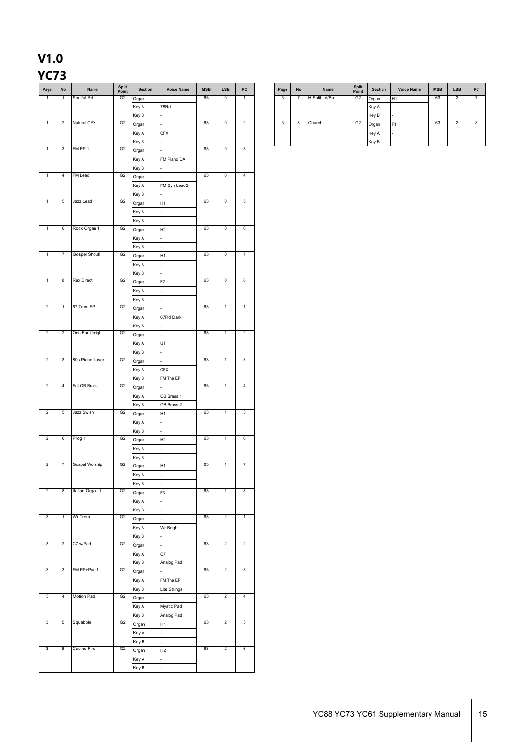# **V1.0**

#### **YC73**

| Page                    | $\mathsf{No}$           | Name              | Split<br>Point | Section | <b>Voice Name</b> | MSB | LSB                     | $_{\sf PC}$             | Page         | $\mathop{\sf No}\nolimits$ | Name          | Split<br>Point | Section | Voice Name | MSB | ${\sf LSB}$    | P |
|-------------------------|-------------------------|-------------------|----------------|---------|-------------------|-----|-------------------------|-------------------------|--------------|----------------------------|---------------|----------------|---------|------------|-----|----------------|---|
| $\mathbf{1}$            | $\mathbf{1}$            | Soulful Rd        | G2             | Organ   |                   | 63  | $\overline{\mathbf{0}}$ | $\mathbf{1}$            | $\mathbf{3}$ | $\overline{7}$             | H Split Ld/Ba | G2             | Organ   | H1         | 63  | $\overline{2}$ | ī |
|                         |                         |                   |                | Key A   | 78Rd              |     |                         |                         |              |                            |               |                | Key A   |            |     |                |   |
|                         |                         |                   |                | Key B   |                   |     |                         |                         |              |                            |               |                | Key B   |            |     |                |   |
| $\mathbf{1}$            | $\overline{2}$          | Natural CFX       | G <sub>2</sub> | Organ   |                   | 63  | $\overline{0}$          | $\overline{2}$          | $\mathbf{3}$ | 8                          | Church        | G <sub>2</sub> | Organ   | F1         | 63  | $\overline{2}$ | र |
|                         |                         |                   |                | Key A   | <b>CFX</b>        |     |                         |                         |              |                            |               |                | Key A   |            |     |                |   |
|                         |                         |                   |                | Key B   |                   |     |                         |                         |              |                            |               |                | Key B   |            |     |                |   |
| $\mathbf{1}$            | $\mathbf{3}$            | FM EP 1           | G2             | Organ   |                   | 63  | $\overline{0}$          | $\overline{\mathbf{3}}$ |              |                            |               |                |         |            |     |                |   |
|                         |                         |                   |                | Key A   | FM Piano DA       |     |                         |                         |              |                            |               |                |         |            |     |                |   |
|                         |                         |                   |                | Key B   |                   |     |                         |                         |              |                            |               |                |         |            |     |                |   |
| $\mathbf{1}$            | $\overline{4}$          | FM Lead           | G <sub>2</sub> | Organ   |                   | 63  | $\overline{0}$          | $\overline{4}$          |              |                            |               |                |         |            |     |                |   |
|                         |                         |                   |                | Key A   | FM Syn Lead2      |     |                         |                         |              |                            |               |                |         |            |     |                |   |
|                         |                         |                   |                | Key B   |                   |     |                         |                         |              |                            |               |                |         |            |     |                |   |
| $\mathbf{1}$            | $\sqrt{5}$              | Jazz Lead         | G2             | Organ   | H1                | 63  | $\overline{0}$          | $5\overline{)}$         |              |                            |               |                |         |            |     |                |   |
|                         |                         |                   |                | Key A   |                   |     |                         |                         |              |                            |               |                |         |            |     |                |   |
|                         |                         |                   |                | Key B   |                   |     |                         |                         |              |                            |               |                |         |            |     |                |   |
| $\mathbf{1}$            | 6                       | Rock Organ 1      | G2             |         | H2                | 63  | $\overline{0}$          | $6\overline{6}$         |              |                            |               |                |         |            |     |                |   |
|                         |                         |                   |                | Organ   |                   |     |                         |                         |              |                            |               |                |         |            |     |                |   |
|                         |                         |                   |                | Key A   |                   |     |                         |                         |              |                            |               |                |         |            |     |                |   |
| $\mathbf{1}$            | $\overline{7}$          | Gospel Shout!     | G <sub>2</sub> | Key B   |                   | 63  | $\overline{0}$          | $\overline{7}$          |              |                            |               |                |         |            |     |                |   |
|                         |                         |                   |                | Organ   | H1                |     |                         |                         |              |                            |               |                |         |            |     |                |   |
|                         |                         |                   |                | Key A   |                   |     |                         |                         |              |                            |               |                |         |            |     |                |   |
| $\mathbf{1}$            | $\overline{\mathbf{8}}$ | <b>Rex Direct</b> | G2             | Key B   |                   | 63  | $\overline{0}$          | $\overline{\mathbf{8}}$ |              |                            |               |                |         |            |     |                |   |
|                         |                         |                   |                | Organ   | F <sub>2</sub>    |     |                         |                         |              |                            |               |                |         |            |     |                |   |
|                         |                         |                   |                | Key A   |                   |     |                         |                         |              |                            |               |                |         |            |     |                |   |
|                         |                         |                   |                | Key B   |                   |     |                         |                         |              |                            |               |                |         |            |     |                |   |
| $\overline{2}$          | $\overline{1}$          | 67 Trem EP        | G2             | Organ   |                   | 63  | $\overline{1}$          | $\overline{1}$          |              |                            |               |                |         |            |     |                |   |
|                         |                         |                   |                | Key A   | 67Rd Dark         |     |                         |                         |              |                            |               |                |         |            |     |                |   |
|                         |                         |                   |                | Key B   |                   |     |                         |                         |              |                            |               |                |         |            |     |                |   |
| $\overline{2}$          | $\overline{2}$          | One Ear Upright   | G2             | Organ   |                   | 63  | $\overline{1}$          | $\overline{2}$          |              |                            |               |                |         |            |     |                |   |
|                         |                         |                   |                | Key A   | U1                |     |                         |                         |              |                            |               |                |         |            |     |                |   |
|                         |                         |                   |                | Key B   |                   |     |                         |                         |              |                            |               |                |         |            |     |                |   |
| $\overline{2}$          | $\overline{3}$          | 80s Piano Layer   | G2             | Organ   |                   | 63  | $\mathbf{1}$            | $\overline{\mathbf{3}}$ |              |                            |               |                |         |            |     |                |   |
|                         |                         |                   |                | Key A   | <b>CFX</b>        |     |                         |                         |              |                            |               |                |         |            |     |                |   |
|                         |                         |                   |                | Key B   | FM The EP         |     |                         |                         |              |                            |               |                |         |            |     |                |   |
| $\overline{2}$          | $\overline{4}$          | Fat OB Brass      | G <sub>2</sub> | Organ   |                   | 63  | $\mathbf 1$             | $\overline{4}$          |              |                            |               |                |         |            |     |                |   |
|                         |                         |                   |                | Key A   | OB Brass 1        |     |                         |                         |              |                            |               |                |         |            |     |                |   |
|                         |                         |                   |                | Key B   | OB Brass 2        |     |                         |                         |              |                            |               |                |         |            |     |                |   |
| $\overline{2}$          | $\sqrt{5}$              | Jazz Swish        | G <sub>2</sub> | Organ   | H1                | 63  | $\mathbf{1}$            | $\overline{5}$          |              |                            |               |                |         |            |     |                |   |
|                         |                         |                   |                | Key A   |                   |     |                         |                         |              |                            |               |                |         |            |     |                |   |
|                         |                         |                   |                | Key B   |                   |     |                         |                         |              |                            |               |                |         |            |     |                |   |
| $\overline{2}$          | 6                       | Prog 1            | G2             | Organ   | H2                | 63  | $\mathbf{1}$            | 6                       |              |                            |               |                |         |            |     |                |   |
|                         |                         |                   |                | Key A   |                   |     |                         |                         |              |                            |               |                |         |            |     |                |   |
|                         |                         |                   |                | Key B   |                   |     |                         |                         |              |                            |               |                |         |            |     |                |   |
| $\overline{2}$          | $\overline{7}$          | Gospel Worship    | G2             | Organ   | H1                | 63  | $\mathbf{1}$            | $\overline{7}$          |              |                            |               |                |         |            |     |                |   |
|                         |                         |                   |                | Key A   | ä,                |     |                         |                         |              |                            |               |                |         |            |     |                |   |
|                         |                         |                   |                | Key B   |                   |     |                         |                         |              |                            |               |                |         |            |     |                |   |
| $\overline{2}$          | 8                       | Italian Organ 1   | G2             | Organ   | F <sub>3</sub>    | 63  | $\mathbf{1}$            | 8                       |              |                            |               |                |         |            |     |                |   |
|                         |                         |                   |                | Key A   |                   |     |                         |                         |              |                            |               |                |         |            |     |                |   |
|                         |                         |                   |                | Key B   |                   |     |                         |                         |              |                            |               |                |         |            |     |                |   |
| $\overline{3}$          | $\mathbf{1}$            | Wr Trem           | G2             | Organ   |                   | 63  | $\overline{2}$          | $\mathbf{1}$            |              |                            |               |                |         |            |     |                |   |
|                         |                         |                   |                | Key A   | Wr Bright         |     |                         |                         |              |                            |               |                |         |            |     |                |   |
|                         |                         |                   |                | Key B   |                   |     |                         |                         |              |                            |               |                |         |            |     |                |   |
| $\overline{\mathbf{3}}$ | $\overline{2}$          | C7 w/Pad          | G2             | Organ   |                   | 63  | $\overline{2}$          | $\overline{2}$          |              |                            |               |                |         |            |     |                |   |
|                         |                         |                   |                | Key A   | C7                |     |                         |                         |              |                            |               |                |         |            |     |                |   |
|                         |                         |                   |                | Key B   | Analog Pad        |     |                         |                         |              |                            |               |                |         |            |     |                |   |
| $\overline{\mathbf{3}}$ | $\overline{3}$          | FM EP+Pad 1       | G2             | Organ   |                   | 63  | $\overline{2}$          | $\overline{\mathbf{3}}$ |              |                            |               |                |         |            |     |                |   |
|                         |                         |                   |                | Key A   | FM The EP         |     |                         |                         |              |                            |               |                |         |            |     |                |   |
|                         |                         |                   |                | Key B   | Lite Strings      |     |                         |                         |              |                            |               |                |         |            |     |                |   |
| $\overline{\mathbf{3}}$ | $\overline{4}$          | Motion Pad        | G2             | Organ   |                   | 63  | $\overline{2}$          | $\overline{4}$          |              |                            |               |                |         |            |     |                |   |
|                         |                         |                   |                | Key A   | Mystic Pad        |     |                         |                         |              |                            |               |                |         |            |     |                |   |
|                         |                         |                   |                | Key B   | Analog Pad        |     |                         |                         |              |                            |               |                |         |            |     |                |   |
| $\mathbf{3}$            | $\overline{5}$          | Squabble          | G2             | Organ   | H1                | 63  | $\overline{2}$          | $5\overline{)}$         |              |                            |               |                |         |            |     |                |   |
|                         |                         |                   |                | Key A   |                   |     |                         |                         |              |                            |               |                |         |            |     |                |   |
|                         |                         |                   |                | Key B   |                   |     |                         |                         |              |                            |               |                |         |            |     |                |   |
| $\mathbf{3}$            | $6\overline{6}$         | Casino Fire       | G2             | Organ   | H2                | 63  | $\overline{2}$          | 6                       |              |                            |               |                |         |            |     |                |   |
|                         |                         |                   |                | Key A   |                   |     |                         |                         |              |                            |               |                |         |            |     |                |   |
|                         |                         |                   |                | Key B   |                   |     |                         |                         |              |                            |               |                |         |            |     |                |   |
|                         |                         |                   |                |         |                   |     |                         |                         |              |                            |               |                |         |            |     |                |   |

| Page | <b>No</b> | Name          | <b>Split</b><br>Point | <b>Section</b> | <b>Voice Name</b>        | <b>MSB</b> | <b>LSB</b>     | <b>PC</b> |
|------|-----------|---------------|-----------------------|----------------|--------------------------|------------|----------------|-----------|
| 3    |           | H Split Ld/Ba | G <sub>2</sub>        | Organ          | H1                       | 63         | $\overline{2}$ |           |
|      |           |               |                       | Key A          | $\overline{\phantom{a}}$ |            |                |           |
|      |           |               |                       | Key B          | ٠                        |            |                |           |
| 3    | 8         | Church        | G <sub>2</sub>        | Organ          | F <sub>1</sub>           | 63         | $\mathfrak{p}$ | 8         |
|      |           |               |                       | Key A          | ٠                        |            |                |           |
|      |           |               |                       | Key B          | ٠                        |            |                |           |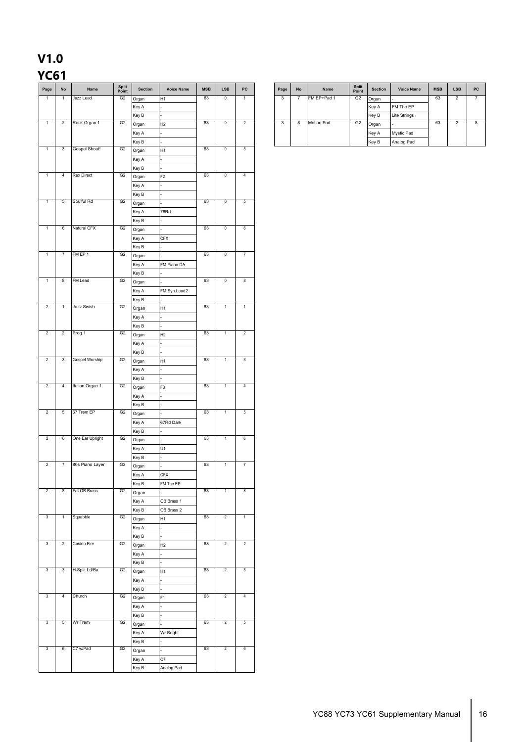#### **V1.0 YC61**

| Page           | $\mathsf{No}$   | Name              | Split<br>Point | <b>Section</b> | <b>Voice Name</b> | MSB | <b>LSB</b>     | PC                      |
|----------------|-----------------|-------------------|----------------|----------------|-------------------|-----|----------------|-------------------------|
| $\overline{1}$ | $\mathbf{1}$    | Jazz Lead         | G2             | Organ          | H <sub>1</sub>    | 63  | $\overline{0}$ | $\mathbf{1}$            |
|                |                 |                   |                | Key A          |                   |     |                |                         |
|                |                 |                   |                | Key B          |                   |     |                |                         |
| $\mathbf{1}$   | $\overline{a}$  | Rock Organ 1      | G2             | Organ          | H2                | 63  | $\overline{0}$ | $\overline{2}$          |
|                |                 |                   |                |                |                   |     |                |                         |
|                |                 |                   |                | Key A          |                   |     |                |                         |
|                |                 |                   |                | Key B          |                   |     |                |                         |
| $\mathbf{1}$   | 3               | Gospel Shout!     | G2             | Organ          | H1                | 63  | $\overline{0}$ | $\overline{\mathbf{3}}$ |
|                |                 |                   |                | Key A          |                   |     |                |                         |
|                |                 |                   |                | Key B          |                   |     |                |                         |
| $\mathbf{1}$   | $\overline{4}$  | <b>Rex Direct</b> | G <sub>2</sub> |                | F <sub>2</sub>    | 63  | $\mathbf 0$    | $\overline{4}$          |
|                |                 |                   |                | Organ          |                   |     |                |                         |
|                |                 |                   |                | Key A          |                   |     |                |                         |
|                |                 |                   |                | Key B          |                   |     |                |                         |
| $\overline{1}$ | 5               | Soulful Rd        | G2             | Organ          |                   | 63  | $\mathbf 0$    | $5\phantom{.0}$         |
|                |                 |                   |                | Key A          | 78Rd              |     |                |                         |
|                |                 |                   |                | Key B          |                   |     |                |                         |
| $\mathbf{1}$   | 6               | Natural CFX       | G2             | Organ          |                   | 63  | $\mathbf 0$    | 6                       |
|                |                 |                   |                | Key A          | <b>CFX</b>        |     |                |                         |
|                |                 |                   |                |                |                   |     |                |                         |
|                |                 |                   |                | Key B          |                   |     |                |                         |
| $\overline{1}$ | $\overline{7}$  | FM EP 1           | G2             | Organ          |                   | 63  | $\mathbf 0$    | $\overline{7}$          |
|                |                 |                   |                | Key A          | FM Piano DA       |     |                |                         |
|                |                 |                   |                | Key B          |                   |     |                |                         |
| $\mathbf{1}$   | 8               | <b>FM Lead</b>    | G <sub>2</sub> | Organ          |                   | 63  | $\overline{0}$ | $\overline{\mathbf{8}}$ |
|                |                 |                   |                | Key A          | FM Syn Lead2      |     |                |                         |
|                |                 |                   |                | Key B          |                   |     |                |                         |
| $\overline{2}$ | $\mathbf{1}$    | Jazz Swish        | G <sub>2</sub> |                |                   | 63  | $\mathbf{1}$   | $\overline{1}$          |
|                |                 |                   |                | Organ          | H1                |     |                |                         |
|                |                 |                   |                | Key A          |                   |     |                |                         |
|                |                 |                   |                | Key B          |                   |     |                |                         |
| $\overline{2}$ | $\overline{2}$  | Prog 1            | G2             | Organ          | H2                | 63  | $\overline{1}$ | $\overline{2}$          |
|                |                 |                   |                | Key A          |                   |     |                |                         |
|                |                 |                   |                | Key B          |                   |     |                |                         |
| $\overline{2}$ | $\mathbf{3}$    | Gospel Worship    | G2             | Organ          | H1                | 63  | $\overline{1}$ | $\overline{\mathbf{3}}$ |
|                |                 |                   |                | Key A          |                   |     |                |                         |
|                |                 |                   |                |                |                   |     |                |                         |
|                |                 |                   |                | Key B          |                   |     |                |                         |
| $\sqrt{2}$     | $\sqrt{4}$      | Italian Organ 1   | G2             | Organ          | F <sub>3</sub>    | 63  | $\mathbf{1}$   | $\overline{4}$          |
|                |                 |                   |                | Key A          |                   |     |                |                         |
|                |                 |                   |                | Key B          |                   |     |                |                         |
| $\overline{2}$ | $\overline{5}$  | 67 Trem EP        | G2             | Organ          |                   | 63  | $\overline{1}$ | $\overline{5}$          |
|                |                 |                   |                | Key A          | 67Rd Dark         |     |                |                         |
|                |                 |                   |                | Key B          |                   |     |                |                         |
| $\overline{2}$ | 6               | One Ear Upright   | G2             |                |                   | 63  | $\overline{1}$ | $6\overline{6}$         |
|                |                 |                   |                | Organ          |                   |     |                |                         |
|                |                 |                   |                | Key A          | U1                |     |                |                         |
|                |                 |                   |                | Key B          |                   |     |                |                         |
| $\overline{2}$ | $\overline{7}$  | 80s Piano Layer   | G2             | Organ          |                   | 63  | $\mathbf{1}$   | $\overline{7}$          |
|                |                 |                   |                | Key A          | <b>CFX</b>        |     |                |                         |
|                |                 |                   |                | Key B          | FM The EP         |     |                |                         |
| $\overline{2}$ | 8               | Fat OB Brass      | G2             | Organ          |                   | 63  | $\mathbf{1}$   | $\overline{\mathbf{8}}$ |
|                |                 |                   |                | Key A          | OB Brass 1        |     |                |                         |
|                |                 |                   |                | Key B          | OB Brass 2        |     |                |                         |
| $\mathbf{3}$   | $\overline{1}$  | Squabble          | G2             |                |                   | 63  | $\overline{2}$ | $\overline{1}$          |
|                |                 |                   |                | Organ          | H1                |     |                |                         |
|                |                 |                   |                | Key A          |                   |     |                |                         |
|                |                 |                   |                | Key B          |                   |     |                |                         |
| $\mathbf{3}$   | $\overline{2}$  | Casino Fire       | G2             | Organ          | H2                | 63  | $\overline{2}$ | $\overline{2}$          |
|                |                 |                   |                | Key A          |                   |     |                |                         |
|                |                 |                   |                | Key B          |                   |     |                |                         |
| $\mathbf{3}$   | $\overline{3}$  | H Split Ld/Ba     | G2             | Organ          | H1                | 63  | $\overline{2}$ | $\overline{\mathbf{3}}$ |
|                |                 |                   |                |                |                   |     |                |                         |
|                |                 |                   |                | Key A          |                   |     |                |                         |
|                |                 |                   |                | Key B          |                   |     |                |                         |
| $\mathbf{3}$   | $\overline{4}$  | Church            | G2             | Organ          | F1                | 63  | $\overline{2}$ | $\overline{4}$          |
|                |                 |                   |                | Key A          |                   |     |                |                         |
|                |                 |                   |                | Key B          |                   |     |                |                         |
| $\overline{3}$ | $\overline{5}$  | Wr Trem           | G2             | Organ          |                   | 63  | $\overline{2}$ | $5\overline{)}$         |
|                |                 |                   |                | Key A          | Wr Bright         |     |                |                         |
|                |                 |                   |                | Key B          |                   |     |                |                         |
|                | $6\overline{6}$ | C7 w/Pad          | G2             | Organ          |                   | 63  | $\overline{2}$ | 6                       |
| $\overline{3}$ |                 |                   |                |                |                   |     |                |                         |
|                |                 |                   |                |                |                   |     |                |                         |
|                |                 |                   |                | Key A<br>Key B | C7<br>Analog Pad  |     |                |                         |

| <b>Section</b> | <b>Voice Name</b> | <b>MSB</b> | <b>LSB</b> | <b>PC</b> | Page    | <b>No</b> | Name              | <b>Split</b><br>Point | <b>Section</b> | <b>Voice Name</b> | <b>MSB</b> | <b>LSB</b> | PC |
|----------------|-------------------|------------|------------|-----------|---------|-----------|-------------------|-----------------------|----------------|-------------------|------------|------------|----|
| Organ          | <b>H1</b>         | 63         | ч          |           | ۰,      |           | FM EP+Pad 1       | G <sub>2</sub>        | Organ          |                   | 63         | ≘<br>╭     |    |
| Key A          |                   |            |            |           |         |           |                   |                       | Key A          | FM The EP         |            |            |    |
| Key B          |                   |            |            |           |         |           |                   |                       | Key B          | Lite Strings      |            |            |    |
| Organ          | H <sub>2</sub>    | 63         | ч          |           | $\cdot$ | 8         | <b>Motion Pad</b> | G <sub>2</sub>        | Organ          |                   | 63         | {          | 8  |
| Key A          |                   |            |            |           |         |           |                   |                       | Key A          | Mystic Pad        |            |            |    |
| Key B          |                   |            |            |           |         |           |                   |                       | Key B          | Analog Pad        |            |            |    |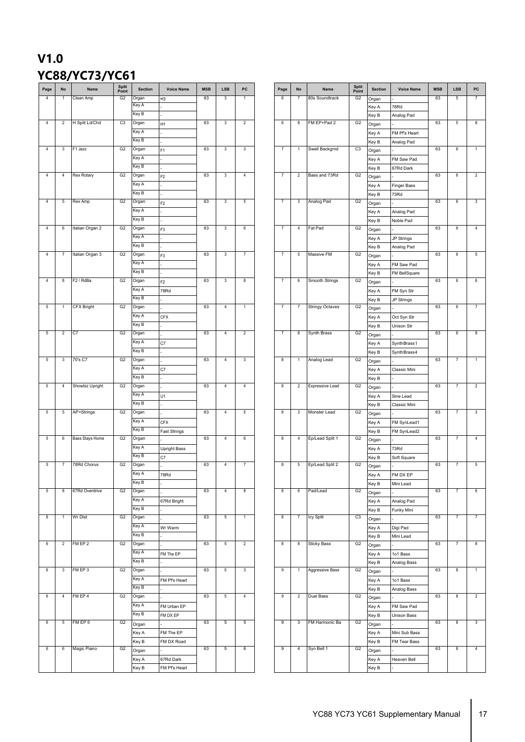#### **V1.0 YC88/YC73/YC61**

| Page            | No             | Name                   | Split<br>Point | <b>Section</b> | <b>Voice Name</b>   | <b>MSB</b> | LSB            | PC             |
|-----------------|----------------|------------------------|----------------|----------------|---------------------|------------|----------------|----------------|
| 4               | $\overline{1}$ | Clean Amp              | G <sub>2</sub> | Organ          | H3                  | 63         | 3              | 1              |
|                 |                |                        |                | Key A          |                     |            |                |                |
|                 |                |                        |                | Key B          |                     |            |                |                |
| $\overline{4}$  | $\overline{2}$ | H Split Ld/Chd         | C3             | Organ          |                     | 63         | 3              | $\overline{2}$ |
|                 |                |                        |                |                | H1                  |            |                |                |
|                 |                |                        |                | Key A          |                     |            |                |                |
|                 |                |                        |                | Key B          |                     |            |                |                |
| 4               | $\mathbf{3}$   | F1 Jazz                | G2             | Organ          | F <sub>1</sub>      | 63         | 3              | 3              |
|                 |                |                        |                | Key A          |                     |            |                |                |
|                 |                |                        |                | Key B          |                     |            |                |                |
| $\overline{4}$  | $\overline{4}$ | Rex Rotary             | G <sub>2</sub> | Organ          | F <sub>2</sub>      | 63         | $\mathbf 3$    | $\overline{4}$ |
|                 |                |                        |                | Key A          |                     |            |                |                |
|                 |                |                        |                | Key B          |                     |            |                |                |
|                 |                |                        |                |                |                     |            |                |                |
| $\overline{4}$  | 5              | Rex Amp                | G <sub>2</sub> | Organ          | F <sub>2</sub>      | 63         | 3              | 5              |
|                 |                |                        |                | Key A          |                     |            |                |                |
|                 |                |                        |                | Key B          |                     |            |                |                |
| $\overline{4}$  | 6              | Italian Organ 2        | G <sub>2</sub> | Organ          | F <sub>3</sub>      | 63         | 3              | 6              |
|                 |                |                        |                | Key A          |                     |            |                |                |
|                 |                |                        |                | Key B          |                     |            |                |                |
| $\overline{4}$  | $\overline{7}$ | Italian Organ 3        | G <sub>2</sub> |                |                     | 63         | 3              | $\overline{7}$ |
|                 |                |                        |                | Organ          | F <sub>3</sub>      |            |                |                |
|                 |                |                        |                | Key A          |                     |            |                |                |
|                 |                |                        |                | Key B          |                     |            |                |                |
| $\overline{4}$  | 8              | F <sub>2</sub> / RdBa  | G2             | Organ          | F <sub>2</sub>      | 63         | $\mathbf{3}$   | 8              |
|                 |                |                        |                | Key A          | 78Rd                |            |                |                |
|                 |                |                        |                | Key B          |                     |            |                |                |
| 5               | $\overline{1}$ | <b>CFX Bright</b>      | G2             | Organ          |                     | 63         | $\overline{4}$ | $\mathbf{1}$   |
|                 |                |                        |                | Key A          |                     |            |                |                |
|                 |                |                        |                |                | <b>CFX</b>          |            |                |                |
|                 |                |                        |                | Key B          |                     |            |                |                |
| $5\phantom{.0}$ | $\overline{2}$ | C7                     | G2             | Organ          |                     | 63         | $\overline{4}$ | $\overline{2}$ |
|                 |                |                        |                | Key A          | C7                  |            |                |                |
|                 |                |                        |                | Key B          |                     |            |                |                |
| $5\phantom{.0}$ | 3              | 70's C7                | G2             | Organ          |                     | 63         | $\overline{4}$ | 3              |
|                 |                |                        |                | Key A          | C7                  |            |                |                |
|                 |                |                        |                | Key B          |                     |            |                |                |
|                 |                |                        |                |                |                     |            |                |                |
| $5\phantom{.0}$ | $\overline{4}$ | Showbiz Upright        | G <sub>2</sub> | Organ          |                     | 63         | $\overline{4}$ | $\overline{4}$ |
|                 |                |                        |                | Key A          | U1                  |            |                |                |
|                 |                |                        |                | Key B          |                     |            |                |                |
| $5\phantom{.0}$ | $\overline{5}$ | AP+Strings             | G2             | Organ          |                     | 63         | $\overline{4}$ | $\overline{5}$ |
|                 |                |                        |                | Key A          | <b>CFX</b>          |            |                |                |
|                 |                |                        |                | Key B          | <b>Fast Strings</b> |            |                |                |
| $5\phantom{.0}$ | 6              | <b>Bass Stays Home</b> | G2             | Organ          |                     | 63         | $\overline{4}$ | 6              |
|                 |                |                        |                | Key A          |                     |            |                |                |
|                 |                |                        |                |                | <b>Upright Bass</b> |            |                |                |
|                 |                |                        |                | Key B          | C7                  |            |                |                |
| $\overline{5}$  | 7              | 78Rd Chorus            | G <sub>2</sub> | Organ          |                     | 63         | $\overline{4}$ | $\overline{7}$ |
|                 |                |                        |                | Key A          | 78Rd                |            |                |                |
|                 |                |                        |                | Key B          |                     |            |                |                |
| $5\phantom{.0}$ | 8              | 67Rd Overdrive         | G2             | Organ          |                     | 63         | $\overline{4}$ | 8              |
|                 |                |                        |                | Key A          | 67Rd Bright         |            |                |                |
|                 |                |                        |                | Key B          |                     |            |                |                |
| 6               | $\mathbf{1}$   | <b>Wr Dist</b>         | G <sub>2</sub> | Organ          |                     | 63         | $\,$ 5 $\,$    | $\mathbf{1}$   |
|                 |                |                        |                | Key A          |                     |            |                |                |
|                 |                |                        |                |                | Wr Warm             |            |                |                |
|                 |                |                        |                | Key B          |                     |            |                |                |
| 6               | $\overline{2}$ | FM EP 2                | G <sub>2</sub> | Organ          |                     | 63         | $\overline{5}$ | $\overline{2}$ |
|                 |                |                        |                | Key A          | FM The EP           |            |                |                |
|                 |                |                        |                | Key B          |                     |            |                |                |
|                 | $\mathbf{3}$   | FM EP 3                | G <sub>2</sub> | Organ          |                     | 63         | $\overline{5}$ | $\mathbf{3}$   |
| 6               |                |                        |                | Key A          | FM Pf's Heart       |            |                |                |
|                 |                |                        |                |                |                     |            |                |                |
|                 |                |                        |                |                |                     |            |                |                |
|                 |                |                        |                | Key B          |                     |            |                |                |
| 6               | $\overline{4}$ | FM EP 4                | G <sub>2</sub> | Organ          |                     | 63         | $\overline{5}$ | $\overline{4}$ |
|                 |                |                        |                | Key A          | FM Urban EP         |            |                |                |
|                 |                |                        |                | Key B          | FM DX EP            |            |                |                |
| $6\overline{6}$ | $\overline{5}$ | FM EP 5                | G <sub>2</sub> |                |                     | 63         | $\overline{5}$ | $\overline{5}$ |
|                 |                |                        |                | Organ          |                     |            |                |                |
|                 |                |                        |                | Key A          | FM The EP           |            |                |                |
|                 |                |                        |                | Key B          | FM DX Road          |            |                |                |
| $6\overline{6}$ | 6              | Magic Piano            | G <sub>2</sub> | Organ          |                     | 63         | 5              | 6              |
|                 |                |                        |                | Key A          | 67Rd Dark           |            |                |                |

| <b>Section</b> | <b>Voice Name</b> | <b>MSB</b> | <b>LSB</b>     | PC             | Page           | No             | Name                   | <b>Split</b><br>Point | <b>Section</b> | <b>Voice Name</b> | <b>MSB</b> | <b>LSB</b>        | PC             |
|----------------|-------------------|------------|----------------|----------------|----------------|----------------|------------------------|-----------------------|----------------|-------------------|------------|-------------------|----------------|
| Organ          | H3                | 63         | 3              | 1              | 6              | 7              | 80s Soundtrack         | G <sub>2</sub>        | Organ          |                   | 63         | 5                 | 7              |
| Key A          |                   |            |                |                |                |                |                        |                       | Key A          | 78Rd              |            |                   |                |
| Key B          |                   |            |                |                |                |                |                        |                       | Key B          | Analog Pad        |            |                   |                |
| Organ          | H1                | 63         | $\sqrt{3}$     | 2              | 6              | 8              | FM EP+Pad 2            | G <sub>2</sub>        | Organ          |                   | 63         | 5                 | 8              |
| Key A          |                   |            |                |                |                |                |                        |                       | Key A          | FM Pf's Heart     |            |                   |                |
| Key B          |                   |            |                |                |                |                |                        |                       | Key B          | Analog Pad        |            |                   |                |
| Organ          | F <sub>1</sub>    | 63         | $\sqrt{3}$     | 3              | 7              | 1              | Swell Backgrnd         | C <sub>3</sub>        | Organ          |                   | 63         | 6                 | 1              |
| Key A          |                   |            |                |                |                |                |                        |                       | Key A          | FM Saw Pad        |            |                   |                |
| Key B          |                   |            |                |                |                |                |                        |                       | Key B          | 67Rd Dark         |            |                   |                |
| Organ          | F <sub>2</sub>    | 63         | $\sqrt{3}$     | $\overline{4}$ | $\overline{7}$ | $\overline{2}$ | Bass and 73Rd          | G <sub>2</sub>        | Organ          |                   | 63         | $\,6\,$           | $\overline{2}$ |
| Key A          |                   |            |                |                |                |                |                        |                       | Key A          | Finger Bass       |            |                   |                |
| Key B          |                   |            |                |                |                |                |                        |                       |                |                   |            |                   |                |
| Organ          |                   | 63         | 3              | 5              | $\overline{7}$ | $\mathbf{3}$   | Analog Pad             | G <sub>2</sub>        | Key B          | 73Rd              | 63         | $\,6\,$           | $\mathbf{3}$   |
| Key A          | F <sub>2</sub>    |            |                |                |                |                |                        |                       | Organ          |                   |            |                   |                |
| Key B          |                   |            |                |                |                |                |                        |                       | Key A          | Analog Pad        |            |                   |                |
|                |                   |            |                |                |                |                |                        |                       | Key B          | Noble Pad         |            |                   |                |
| Organ          | F3                | 63         | $\sqrt{3}$     | 6              | $\overline{7}$ | 4              | Fat Pad                | G <sub>2</sub>        | Organ          |                   | 63         | 6                 | 4              |
| Key A          |                   |            |                |                |                |                |                        |                       | Key A          | JP Strings        |            |                   |                |
| Key B          |                   |            |                |                |                |                |                        |                       | Key B          | Analog Pad        |            |                   |                |
| Organ          | F3                | 63         | 3              | $\overline{7}$ | $\overline{7}$ | $\,$ 5 $\,$    | Massive FM             | G <sub>2</sub>        | Organ          |                   | 63         | 6                 | $\,$ 5 $\,$    |
| Key A          |                   |            |                |                |                |                |                        |                       | Key A          | FM Saw Pad        |            |                   |                |
| Key B          |                   |            |                |                |                |                |                        |                       | Key B          | FM BellSquare     |            |                   |                |
| Organ          | F <sub>2</sub>    | 63         | 3              | 8              | $\overline{7}$ | 6              | Smooth Strings         | G <sub>2</sub>        | Organ          |                   | 63         | 6                 | 6              |
| Key A          | 78Rd              |            |                |                |                |                |                        |                       | Key A          | FM Syn Str        |            |                   |                |
| Key B          |                   |            |                |                |                |                |                        |                       | Key B          | JP Strings        |            |                   |                |
| Organ          |                   | 63         | 4              | 1              | 7              | 7              | <b>Stringy Octaves</b> | G <sub>2</sub>        | Organ          |                   | 63         | 6                 | 7              |
| Key A          | <b>CFX</b>        |            |                |                |                |                |                        |                       | Key A          | Oct Syn Str       |            |                   |                |
| Key B          |                   |            |                |                |                |                |                        |                       |                | Unison Str        |            |                   |                |
| Organ          |                   | 63         | $\overline{4}$ | $\sqrt{2}$     | $\overline{7}$ | 8              | Synth Brass            | G <sub>2</sub>        | Key B          |                   | 63         | 6                 | 8              |
| Key A          |                   |            |                |                |                |                |                        |                       | Organ          |                   |            |                   |                |
|                | C7                |            |                |                |                |                |                        |                       | Key A          | Synth Brass 1     |            |                   |                |
| Key B          |                   |            |                |                |                |                |                        |                       | Key B          | Synth Brass4      |            |                   |                |
| Organ          |                   | 63         | $\overline{4}$ | 3              | 8              | $\mathbf{1}$   | Analog Lead            | G <sub>2</sub>        | Organ          |                   | 63         | $\overline{7}$    | $\mathbf{1}$   |
| Key A          | C7                |            |                |                |                |                |                        |                       | Key A          | Classic Mini      |            |                   |                |
| Key B          |                   |            |                |                |                |                |                        |                       | Key B          |                   |            |                   |                |
| Organ          |                   | 63         | $\overline{4}$ | 4              | 8              | $\sqrt{2}$     | Expressive Lead        | G <sub>2</sub>        | Organ          |                   | 63         | $\scriptstyle{7}$ | $\sqrt{2}$     |
| Key A          | U1                |            |                |                |                |                |                        |                       | Key A          | Sine Lead         |            |                   |                |
| Key B          |                   |            |                |                |                |                |                        |                       | Key B          | Classic Mini      |            |                   |                |
| Organ          |                   | 63         | $\overline{4}$ | 5              | 8              | 3              | Monster Lead           | G <sub>2</sub>        | Organ          |                   | 63         | $\overline{7}$    | 3              |
| Key A          | <b>CFX</b>        |            |                |                |                |                |                        |                       | Key A          | FM SynLead1       |            |                   |                |
| Key B          | Fast Strings      |            |                |                |                |                |                        |                       | Key B          | FM SynLead2       |            |                   |                |
| Organ          |                   | 63         | 4              | $\,6\,$        | 8              | 4              | Ep/Lead Split 1        | G <sub>2</sub>        | Organ          |                   | 63         | $\overline{7}$    | $\sqrt{4}$     |
| Key A          | Upright Bass      |            |                |                |                |                |                        |                       | Key A          | 73Rd              |            |                   |                |
| Key B          |                   |            |                |                |                |                |                        |                       |                |                   |            |                   |                |
| Organ          | C7                | 63         | $\overline{4}$ | 7              | 8              | 5              | Ep/Lead Split 2        | G <sub>2</sub>        | Key B          | Soft Square       | 63         | 7                 | $\sqrt{5}$     |
| Key A          |                   |            |                |                |                |                |                        |                       | Organ          |                   |            |                   |                |
|                | 78Rd              |            |                |                |                |                |                        |                       | Key A          | FM DX EP          |            |                   |                |
| Key B          |                   |            |                |                |                |                |                        |                       | Key B          | Mini Lead         |            |                   |                |
| Organ          |                   | 63         | $\overline{4}$ | 8              | 8              | 6              | Pad/Lead               | G <sub>2</sub>        | Organ          |                   | 63         | 7                 | 6              |
| Key A          | 67Rd Bright       |            |                |                |                |                |                        |                       | Key A          | Analog Pad        |            |                   |                |
| Key B          |                   |            |                |                |                |                |                        |                       | Key B          | Funky Mini        |            |                   |                |
| Organ          |                   | 63         | $\overline{5}$ | $\mathbf{1}$   | 8              | $\overline{7}$ | Icy Split              | C <sub>3</sub>        | Organ          |                   | 63         | 7                 | 7              |
| Key A          | Wr Warm           |            |                |                |                |                |                        |                       | Key A          | Digi Pad          |            |                   |                |
| Key B          |                   |            |                |                |                |                |                        |                       | Key B          | Mini Lead         |            |                   |                |
| Organ          |                   | 63         | 5              | $\overline{c}$ | 8              | 8              | <b>Sticky Bass</b>     | G <sub>2</sub>        | Organ          |                   | 63         | 7                 | 8              |
| Key A          | FM The EP         |            |                |                |                |                |                        |                       | Key A          | 1o1 Bass          |            |                   |                |
| Key B          |                   |            |                |                |                |                |                        |                       | Key B          | Analog Bass       |            |                   |                |
| Organ          |                   | 63         | 5              | 3              | 9              | $\mathbf{1}$   | Aggressive Bass        | G <sub>2</sub>        | Organ          |                   | 63         | 8                 | $\mathbf{1}$   |
| Key A          |                   |            |                |                |                |                |                        |                       |                |                   |            |                   |                |
| Key B          | FM Pf's Heart     |            |                |                |                |                |                        |                       | Key A          | 1o1 Bass          |            |                   |                |
|                |                   |            |                |                |                |                |                        |                       | Key B          | Analog Bass       |            |                   |                |
| Organ          |                   | 63         | 5              | 4              | 9              | $\overline{2}$ | Dual Bass              | G <sub>2</sub>        | Organ          |                   | 63         | 8                 | $\overline{2}$ |
| Key A          | FM Urban EP       |            |                |                |                |                |                        |                       | Key A          | FM Saw Pad        |            |                   |                |
| Key B          | FM DX EP          |            |                |                |                |                |                        |                       | Key B          | Unison Bass       |            |                   |                |
| Organ          |                   | 63         | 5              | $\sqrt{5}$     | 9              | 3              | FM Harmonic Ba         | G <sub>2</sub>        | Organ          |                   | 63         | 8                 | 3              |
| Key A          | FM The EP         |            |                |                |                |                |                        |                       | Key A          | Mini Sub Bass     |            |                   |                |
| Key B          | FM DX Road        |            |                |                |                |                |                        |                       | Key B          | FM Tear Bass      |            |                   |                |
| Organ          |                   | 63         | 5              | 6              | 9              | $\overline{4}$ | Syn Bell 1             | G <sub>2</sub>        | Organ          |                   | 63         | 8                 | $\sqrt{4}$     |
| Key A          | 67Rd Dark         |            |                |                |                |                |                        |                       | Key A          | Heaven Bell       |            |                   |                |
| Key B          | FM Pf's Heart     |            |                |                |                |                |                        |                       | Key B          |                   |            |                   |                |
|                |                   |            |                |                |                |                |                        |                       |                |                   |            |                   |                |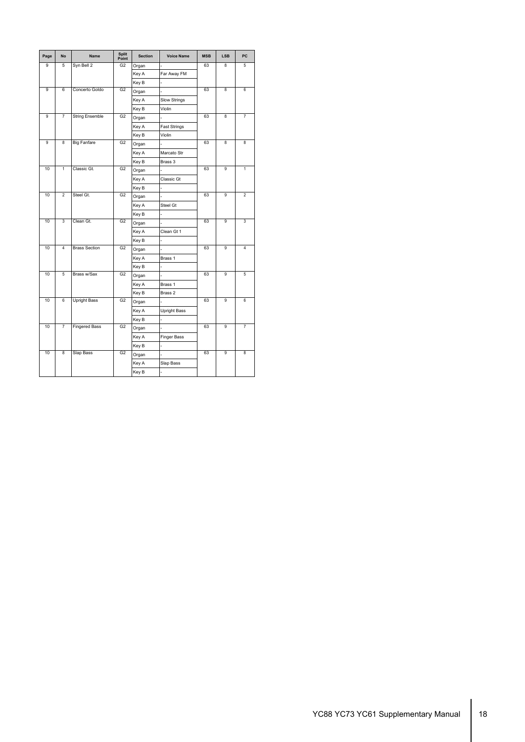| Page | <b>No</b>      | <b>Name</b>            | <b>Split</b><br>Point | <b>Section</b> | <b>Voice Name</b>   | <b>MSB</b> | <b>LSB</b> | PC             |
|------|----------------|------------------------|-----------------------|----------------|---------------------|------------|------------|----------------|
| 9    | 5              | Syn Bell 2             | G2                    | Organ          | $\overline{a}$      | 63         | 8          | 5              |
|      |                |                        |                       | Key A          | Far Away FM         |            |            |                |
|      |                |                        |                       | Key B          |                     |            |            |                |
| 9    | 6              | Concerto Goldo         | G2                    | Organ          |                     | 63         | 8          | 6              |
|      |                |                        |                       | Key A          | Slow Strings        |            |            |                |
|      |                |                        |                       | Key B          | Violin              |            |            |                |
| 9    | $\overline{7}$ | <b>String Ensemble</b> | G <sub>2</sub>        | Organ          |                     | 63         | 8          | $\overline{7}$ |
|      |                |                        |                       | Key A          | <b>Fast Strings</b> |            |            |                |
|      |                |                        |                       | Key B          | Violin              |            |            |                |
| 9    | $\overline{8}$ | <b>Big Fanfare</b>     | G <sub>2</sub>        | Organ          |                     | 63         | 8          | 8              |
|      |                |                        |                       | Key A          | Marcato Str         |            |            |                |
|      |                |                        |                       | Key B          | Brass 3             |            |            |                |
| 10   | $\overline{1}$ | Classic Gt.            | G <sub>2</sub>        | Organ          |                     | 63         | 9          | 1              |
|      |                |                        |                       | Key A          | Classic Gt          |            |            |                |
|      |                |                        |                       | Key B          | $\overline{a}$      |            |            |                |
| 10   | $\overline{2}$ | Steel Gt.              | G2                    | Organ          |                     | 63         | 9          | $\overline{2}$ |
|      |                |                        |                       | Key A          | Steel Gt            |            |            |                |
|      |                |                        |                       | Key B          |                     |            |            |                |
| 10   | 3              | Clean Gt.              | G2                    | Organ          |                     | 63         | 9          | 3              |
|      |                |                        |                       | Key A          | Clean Gt 1          |            |            |                |
|      |                |                        |                       | Key B          |                     |            |            |                |
| 10   | $\overline{4}$ | <b>Brass Section</b>   | G2                    | Organ          |                     | 63         | 9          | $\overline{4}$ |
|      |                |                        |                       | Key A          | Brass 1             |            |            |                |
|      |                |                        |                       | Key B          |                     |            |            |                |
| 10   | 5              | Brass w/Sax            | G2                    | Organ          |                     | 63         | 9          | 5              |
|      |                |                        |                       | Key A          | Brass 1             |            |            |                |
|      |                |                        |                       | Key B          | Brass 2             |            |            |                |
| 10   | 6              | <b>Upright Bass</b>    | G <sub>2</sub>        | Organ          |                     | 63         | 9          | 6              |
|      |                |                        |                       | Key A          | <b>Upright Bass</b> |            |            |                |
|      |                |                        |                       | Key B          |                     |            |            |                |
| 10   | 7              | <b>Fingered Bass</b>   | G <sub>2</sub>        | Organ          |                     | 63         | 9          | $\overline{7}$ |
|      |                |                        |                       | Key A          | Finger Bass         |            |            |                |
|      |                |                        |                       | Key B          |                     |            |            |                |
| 10   | 8              | <b>Slap Bass</b>       | G2                    | Organ          |                     | 63         | 9          | 8              |
|      |                |                        |                       | Key A          | Slap Bass           |            |            |                |
|      |                |                        |                       | Key B          | ٠                   |            |            |                |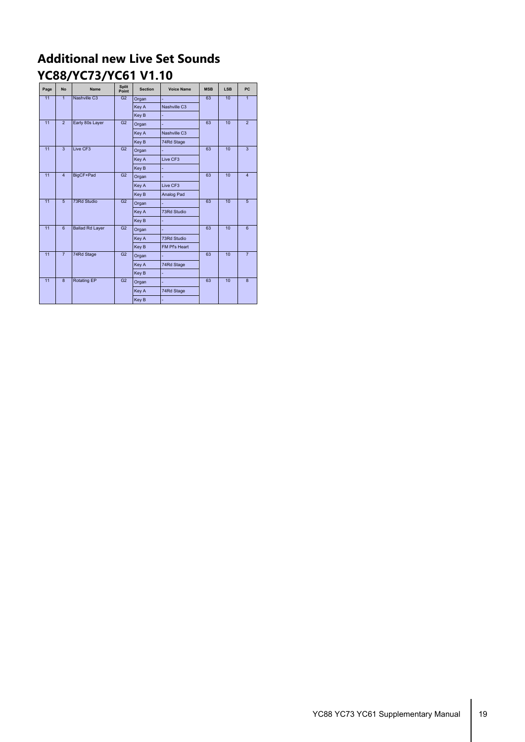#### **Additional new Live Set Sounds YC88/YC73/YC61 V1.10**

| Page | <b>No</b>      | <b>Name</b>            | Split<br>Point | <b>Section</b>    | <b>Voice Name</b> | <b>MSB</b> | <b>LSB</b> | PC             |
|------|----------------|------------------------|----------------|-------------------|-------------------|------------|------------|----------------|
| 11   | $\overline{1}$ | Nashville C3           | G <sub>2</sub> | Organ             |                   | 63         | 10         | 1              |
|      |                |                        |                | Key A             | Nashville C3      |            |            |                |
|      |                |                        |                | Key B             |                   |            |            |                |
| 11   | $\overline{2}$ | Early 80s Layer        | G <sub>2</sub> | Organ             |                   | 63         | 10         | $\overline{2}$ |
|      |                |                        |                | Key A             | Nashville C3      |            |            |                |
|      |                |                        |                | Key B             | 74Rd Stage        |            |            |                |
| 11   | $\overline{3}$ | Live CF3               | G2             | Organ             |                   | 63         | 10         | $\overline{3}$ |
|      |                |                        |                | Live CF3<br>Key A |                   |            |            |                |
|      |                |                        |                | Key B             |                   |            |            |                |
| 11   | $\overline{4}$ | BigCF+Pad              | G <sub>2</sub> | Organ             |                   | 63         | 10         | $\overline{4}$ |
|      |                |                        |                | Key A             | Live CF3          |            |            |                |
|      |                |                        |                | Key B             | Analog Pad        |            |            |                |
| 11   | $\overline{5}$ | 73Rd Studio            | G2             | Organ             |                   | 63         | 10         | $\overline{5}$ |
|      |                |                        |                | Key A             | 73Rd Studio       |            |            |                |
|      |                |                        |                | Key B             |                   |            |            |                |
| 11   | 6              | <b>Ballad Rd Layer</b> | G2             | Organ             |                   | 63         | 10         | 6              |
|      |                |                        |                | Key A             | 73Rd Studio       |            |            |                |
|      |                |                        |                | Key B             | FM Pf's Heart     |            |            |                |
| 11   | $\overline{7}$ | 74Rd Stage             | G <sub>2</sub> | Organ             |                   | 63         | 10         | $\overline{7}$ |
|      |                |                        |                | Key A             | 74Rd Stage        |            |            |                |
|      |                |                        |                | Key B             | ÷                 |            |            |                |
| 11   | $\overline{8}$ | <b>Rotating EP</b>     | G <sub>2</sub> | Organ             |                   | 63         | 10         | $\overline{8}$ |
|      |                |                        |                | Key A             | 74Rd Stage        |            |            |                |
|      |                |                        |                | Key B             |                   |            |            |                |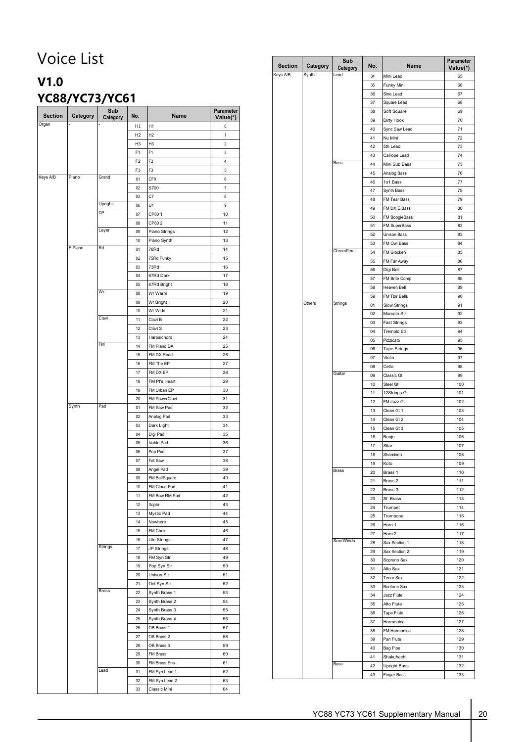## <span id="page-19-0"></span>Voice List

### **V1.0 YC88/YC73/YC61**

| <b>Section</b> | Category | Sub<br>Category | No.            | Name           | Parameter<br>Value(*) |
|----------------|----------|-----------------|----------------|----------------|-----------------------|
| Organ          |          |                 | H1             | H <sub>1</sub> | 0                     |
|                |          |                 | H <sub>2</sub> | H <sub>2</sub> | 1                     |
|                |          |                 | H <sub>3</sub> | H <sub>3</sub> | 2                     |
|                |          |                 | F <sub>1</sub> | F1             | 3                     |
|                |          |                 | F <sub>2</sub> | F <sub>2</sub> | 4                     |
|                |          |                 | F <sub>3</sub> | F3             | 5                     |
| Keys A/B       | Piano    | Grand           | 01             | <b>CFX</b>     | 6                     |
|                |          |                 | 02             | S700           | 7                     |
|                |          |                 | 03             | C7             | 8                     |
|                |          | Upright         | 06             | U1             | 9                     |
|                |          | CP              | 07             | CP801          | 10                    |
|                |          |                 | 08             | CP802          | 11                    |
|                |          | Layer           | 09             | Piano Strings  | 12                    |
|                |          |                 | 10             | Piano Synth    | 13                    |
|                | E.Piano  | Rd              | 01             | 78Rd           | 14                    |
|                |          |                 | 02             | 75Rd Funky     | 15                    |
|                |          |                 | 03             | 73Rd           | 16                    |
|                |          |                 | 04             | 67Rd Dark      | 17                    |
|                |          |                 | 05             | 67Rd Bright    | 18                    |
|                |          | Wr              | 08             | Wr Warm        | 19                    |
|                |          |                 | 09             | Wr Bright      | 20                    |
|                |          |                 | 10             | Wr Wide        | 21                    |
|                |          | Clavi           | 11             | Clavi B        | 22                    |
|                |          |                 | 12             | Clavi S        | 23                    |
|                |          |                 | 13             | Harpsichord    | 24                    |
|                |          | FM              | 14             | FM Piano DA    | 25                    |
|                |          |                 | 15             | FM DX Road     | 26                    |
|                |          |                 | 16             | FM The EP      | 27                    |
|                |          |                 | 17             | FM DX EP       | 28                    |
|                |          |                 | 18             | FM Pf's Heart  | 29                    |
|                |          |                 | 19             | FM Urban EP    | 30                    |
|                |          |                 | 20             | FM PowerClavi  | 31                    |
|                | Synth    | Pad             | 01             | FM Saw Pad     | 32                    |
|                |          |                 | 02             | Analog Pad     | 33                    |
|                |          |                 | 03             | Dark Light     | 34                    |
|                |          |                 | 04             | Digi Pad       | 35                    |
|                |          |                 | 05             | Noble Pad      | 36                    |
|                |          |                 | 06             | Pop Pad        | 37                    |
|                |          |                 | 07             | Fat Saw        | 38                    |
|                |          |                 | 08             | Angel Pad      | 39                    |
|                |          |                 | 09             | FM BellSquare  | 40                    |
|                |          |                 | 10             | FM Cloud Pad   | 41                    |
|                |          |                 | 11             | FM Bow RM Pad  | 42                    |
|                |          |                 | 12             | Itopia         | 43                    |
|                |          |                 | 13             | Mystic Pad     | 44                    |
|                |          |                 | 14             | Nowhere        | 45                    |
|                |          |                 | 15             | FM Choir       | 46                    |
|                |          |                 | 16             | Lite Strings   | 47                    |
|                |          | Strings         | 17             | JP Strings     | 48                    |
|                |          |                 | 18             | FM Syn Str     | 49                    |
|                |          |                 | 19             | Pop Syn Str    | 50                    |
|                |          |                 | 20             | Unison Str     | 51                    |
|                |          |                 | 21             | Oct Syn Str    | 52                    |
|                |          | Brass           | 22             | Synth Brass 1  | 53                    |
|                |          |                 | 23             | Synth Brass 2  | 54                    |
|                |          |                 | 24             | Synth Brass 3  | 55                    |
|                |          |                 | 25             | Synth Brass 4  | 56                    |
|                |          |                 | 26             | OB Brass 1     | 57                    |
|                |          |                 | 27             | OB Brass 2     | 58                    |
|                |          |                 | 28             | OB Brass 3     | 59                    |
|                |          |                 | 29             | FM Brass       | 60                    |
|                |          |                 | 30             | FM Brass Ens   | 61                    |
|                |          | Lead            | 31             | FM Syn Lead 1  | 62                    |
|                |          |                 | 32             | FM Syn Lead 2  | 63                    |
|                |          |                 | 33             | Classic Mini   | 64                    |

| <b>Section</b> | Category | Sub<br>Category | No.      | Name                             | Parameter<br>Value(*) |
|----------------|----------|-----------------|----------|----------------------------------|-----------------------|
| Keys A/B       | Synth    | Lead            | 34       | Mini Lead                        | 65                    |
|                |          |                 | 35       | Funky Mini                       | 66                    |
|                |          |                 | 36       | Sine Lead                        | 67                    |
|                |          |                 | 37       | Square Lead                      | 68                    |
|                |          |                 | 38       | Soft Square                      | 69                    |
|                |          |                 | 39       | Dirty Hook                       | 70                    |
|                |          |                 | 40       | Sync Saw Lead                    | 71                    |
|                |          |                 | 41       | Nu Mini                          | 72                    |
|                |          |                 | 42       | 5th Lead                         | 73                    |
|                |          | Bass            | 43       | Calliope Lead                    | 74                    |
|                |          |                 | 44<br>45 | Mini Sub Bass<br>Analog Bass     | 75<br>76              |
|                |          |                 | 46       | 1o1 Bass                         | 77                    |
|                |          |                 | 47       | Synth Bass                       | 78                    |
|                |          |                 | 48       | FM Tear Bass                     | 79                    |
|                |          |                 | 49       | FM DX E.Bass                     | 80                    |
|                |          |                 | 50       | FM BoogieBass                    | 81                    |
|                |          |                 | 51       | FM SuperBass                     | 82                    |
|                |          |                 | 52       | Unison Bass                      | 83                    |
|                |          |                 | 53       | FM Owl Bass                      | 84                    |
|                |          | ChromPerc       | 54       | FM Glocken                       | 85                    |
|                |          |                 | 55       | FM Far Away                      | 86                    |
|                |          |                 | 56       | Digi Bell                        | 87                    |
|                |          |                 | 57       | FM Brite Comp                    | 88                    |
|                |          |                 | 58       | Heaven Bell                      | 89                    |
|                |          |                 | 59       | FM Tblr Bells                    | 90                    |
|                | Others   | Strings         | 01       | Slow Strings                     | 91                    |
|                |          |                 | 02       | Marcato Str                      | 92                    |
|                |          |                 | 03       | <b>Fast Strings</b>              | 93                    |
|                |          |                 | 04       | Tremolo Str                      | 94                    |
|                |          |                 | 05<br>06 | Pizzicato<br><b>Tape Strings</b> | 95<br>96              |
|                |          |                 | 07       | Violin                           | 97                    |
|                |          |                 | 08       | Cello                            | 98                    |
|                |          | Guitar          | 09       | Classic Gt                       | 99                    |
|                |          |                 | 10       | Steel Gt                         | 100                   |
|                |          |                 | 11       | 12Strings Gt                     | 101                   |
|                |          |                 | 12       | FM Jazz Gt                       | 102                   |
|                |          |                 | 13       | Clean Gt 1                       | 103                   |
|                |          |                 | 14       | Clean Gt 2                       | 104                   |
|                |          |                 | 15       | Clean Gt 3                       | 105                   |
|                |          |                 | 16       | Banjo                            | 106                   |
|                |          |                 | 17       | Sitar                            | 107                   |
|                |          |                 | 18       | Shamisen                         | 108                   |
|                |          |                 | 19       | Koto                             | 109                   |
|                |          | <b>Brass</b>    | 20       | Brass 1                          | 110                   |
|                |          |                 | 21       | Brass 2                          | 111                   |
|                |          |                 | 22<br>23 | Brass 3<br>Sf. Brass             | 112<br>113            |
|                |          |                 | 24       | Trumpet                          | 114                   |
|                |          |                 | 25       | Trombone                         | 115                   |
|                |          |                 | 26       | Horn 1                           | 116                   |
|                |          |                 | 27       | Horn 2                           | 117                   |
|                |          | Sax/Winds       | 28       | Sax Section 1                    | 118                   |
|                |          |                 | 29       | Sax Section 2                    | 119                   |
|                |          |                 | 30       | Soprano Sax                      | 120                   |
|                |          |                 | 31       | Alto Sax                         | 121                   |
|                |          |                 | 32       | <b>Tenor Sax</b>                 | 122                   |
|                |          |                 | 33       | <b>Baritone Sax</b>              | 123                   |
|                |          |                 | 34       | Jazz Flute                       | 124                   |
|                |          |                 | 35       | Alto Flute                       | 125                   |
|                |          |                 | 36       | Tape Flute                       | 126                   |
|                |          |                 | 37       | Harmonica                        | 127                   |
|                |          |                 | 38       | FM Harmonica                     | 128                   |
|                |          |                 | 39       | Pan Flute                        | 129                   |
|                |          |                 | 40       | Bag Pipe                         | 130                   |
|                |          | Bass            | 41<br>42 | Shakuhachi                       | 131                   |
|                |          |                 | 43       | Upright Bass<br>Finger Bass      | 132<br>133            |
|                |          |                 |          |                                  |                       |